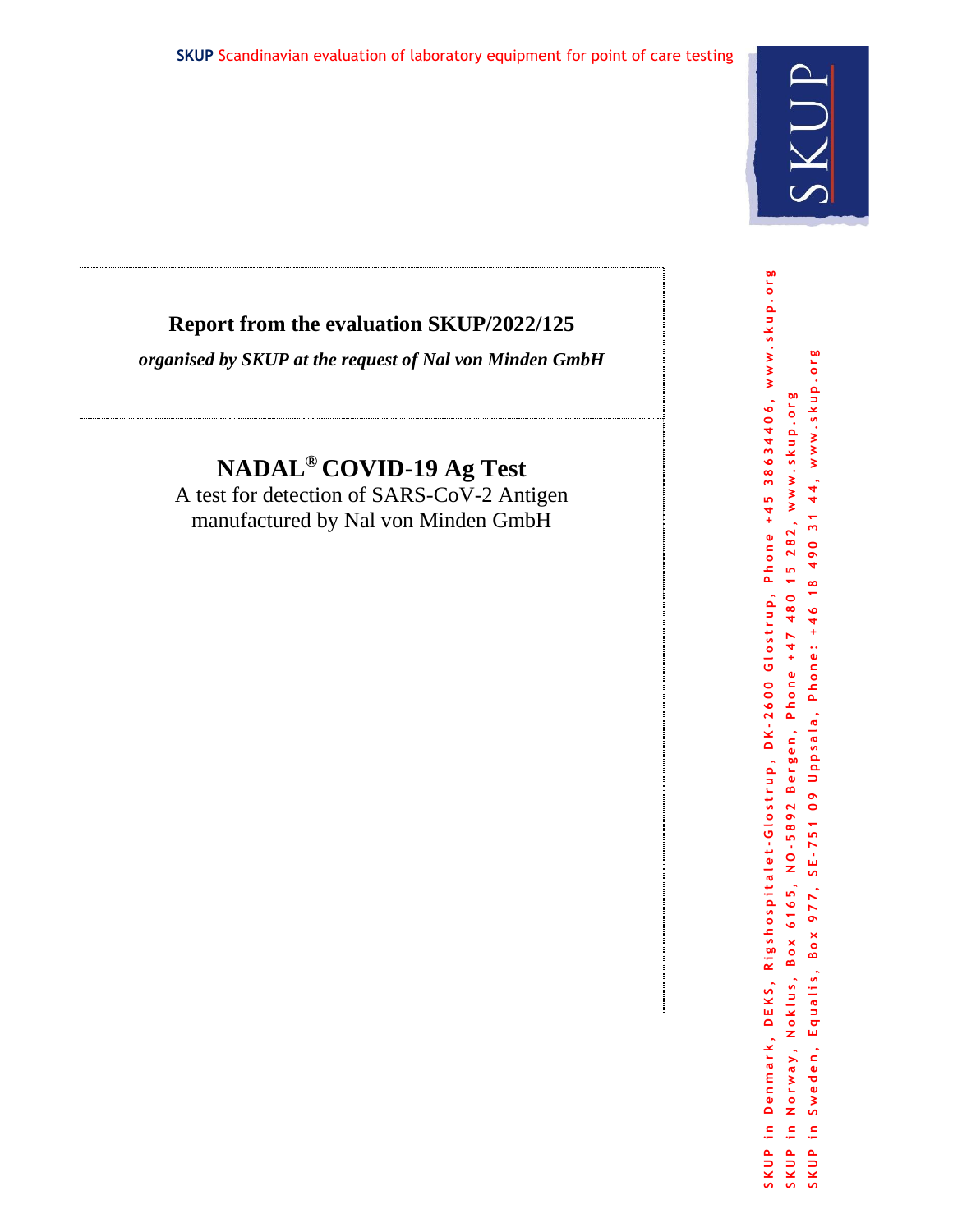## **Report from the evaluation SKUP/2022/125**

*organised by SKUP at the request of Nal von Minden GmbH*

# **NADAL® COVID-19 Ag Test**

A test for detection of SARS-CoV-2 Antigen manufactured by Nal von Minden GmbH

Denmark, DEKS, Rigshospitalet-Glostrup, DK-2600 Glostrup, Phone +45 38634406, www.skup.org SKUP in Denmark, DEKS, Rigshospitalet-Glostrup, DK-2600 Glostrup, Phone +45 38634406, www.skup.org SKUP in Sweden, Equalis, Box 977, SE-751 09 Uppsala, Phone: +46 18 490 31 44, www.skup.org Equalis, Box 977, SE-751 09 Uppsala, Phone: +46 18 490 31 44, www.skup.org www.skup.org SKUP in Norway, Noklus, Box 6165, NO-5892 Bergen, Phone +47 480 15 282, www.skup.org 282,  $\frac{15}{1}$ Norway, Noklus, Box 6165, NO-5892 Bergen, Phone +47 480 Sweden,  $\Xi$  $\mathbb{R}^2$  $\mathbf{E}$ SKUP SKUP SKUP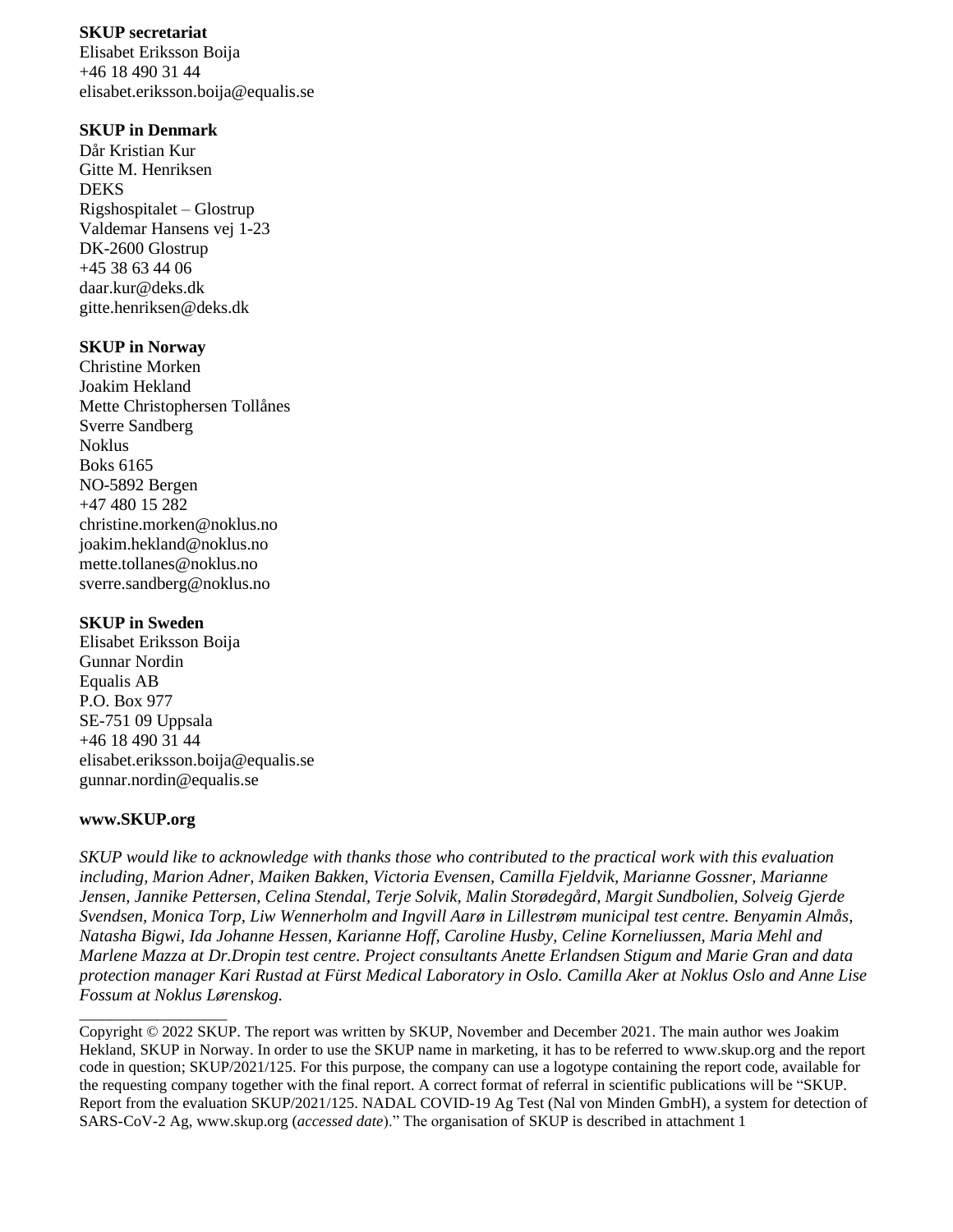#### **SKUP secretariat**

Elisabet Eriksson Boija +46 18 490 31 44 elisabet.eriksson.boija@equalis.se

#### **SKUP in Denmark**

Dår Kristian Kur Gitte M. Henriksen DEKS Rigshospitalet – Glostrup Valdemar Hansens vej 1-23 DK-2600 Glostrup +45 38 63 44 06 daar.kur@deks.dk gitte.henriksen@deks.dk

#### **SKUP in Norway**

Christine Morken Joakim Hekland Mette Christophersen Tollånes Sverre Sandberg Noklus Boks 6165 NO-5892 Bergen +47 480 15 282 christine.morken@noklus.no [joakim.hekland@noklus.no](mailto:joakim.hekland@noklus.no) mette.tollanes@noklus.no sverre.sandberg@noklus.no

#### **SKUP in Sweden**

Elisabet Eriksson Boija Gunnar Nordin Equalis AB P.O. Box 977 SE-751 09 Uppsala +46 18 490 31 44 elisabet.eriksson.boija@equalis.se [gunnar.nordin@equalis.se](mailto:gunnar.nordin@equalis.se)

#### **www.SKUP.org**

\_\_\_\_\_\_\_\_\_\_\_\_\_\_\_\_\_\_\_

*SKUP would like to acknowledge with thanks those who contributed to the practical work with this evaluation including, Marion Adner, Maiken Bakken, Victoria Evensen, Camilla Fjeldvik, Marianne Gossner, Marianne Jensen, Jannike Pettersen, Celina Stendal, Terje Solvik, Malin Storødegård, Margit Sundbolien, Solveig Gjerde Svendsen, Monica Torp, Liw Wennerholm and Ingvill Aarø in Lillestrøm municipal test centre. Benyamin Almås, Natasha Bigwi, Ida Johanne Hessen, Karianne Hoff, Caroline Husby, Celine Korneliussen, Maria Mehl and Marlene Mazza at Dr.Dropin test centre. Project consultants Anette Erlandsen Stigum and Marie Gran and data protection manager Kari Rustad at Fürst Medical Laboratory in Oslo. Camilla Aker at Noklus Oslo and Anne Lise Fossum at Noklus Lørenskog.*

Copyright © 2022 SKUP. The report was written by SKUP, November and December 2021. The main author wes Joakim Hekland, SKUP in Norway. In order to use the SKUP name in marketing, it has to be referred to www.skup.org and the report code in question; SKUP/2021/125. For this purpose, the company can use a logotype containing the report code, available for the requesting company together with the final report. A correct format of referral in scientific publications will be "SKUP. Report from the evaluation SKUP/2021/125. NADAL COVID-19 Ag Test (Nal von Minden GmbH), a system for detection of SARS-CoV-2 Ag, www.skup.org (*accessed date*)." The organisation of SKUP is described in attachment 1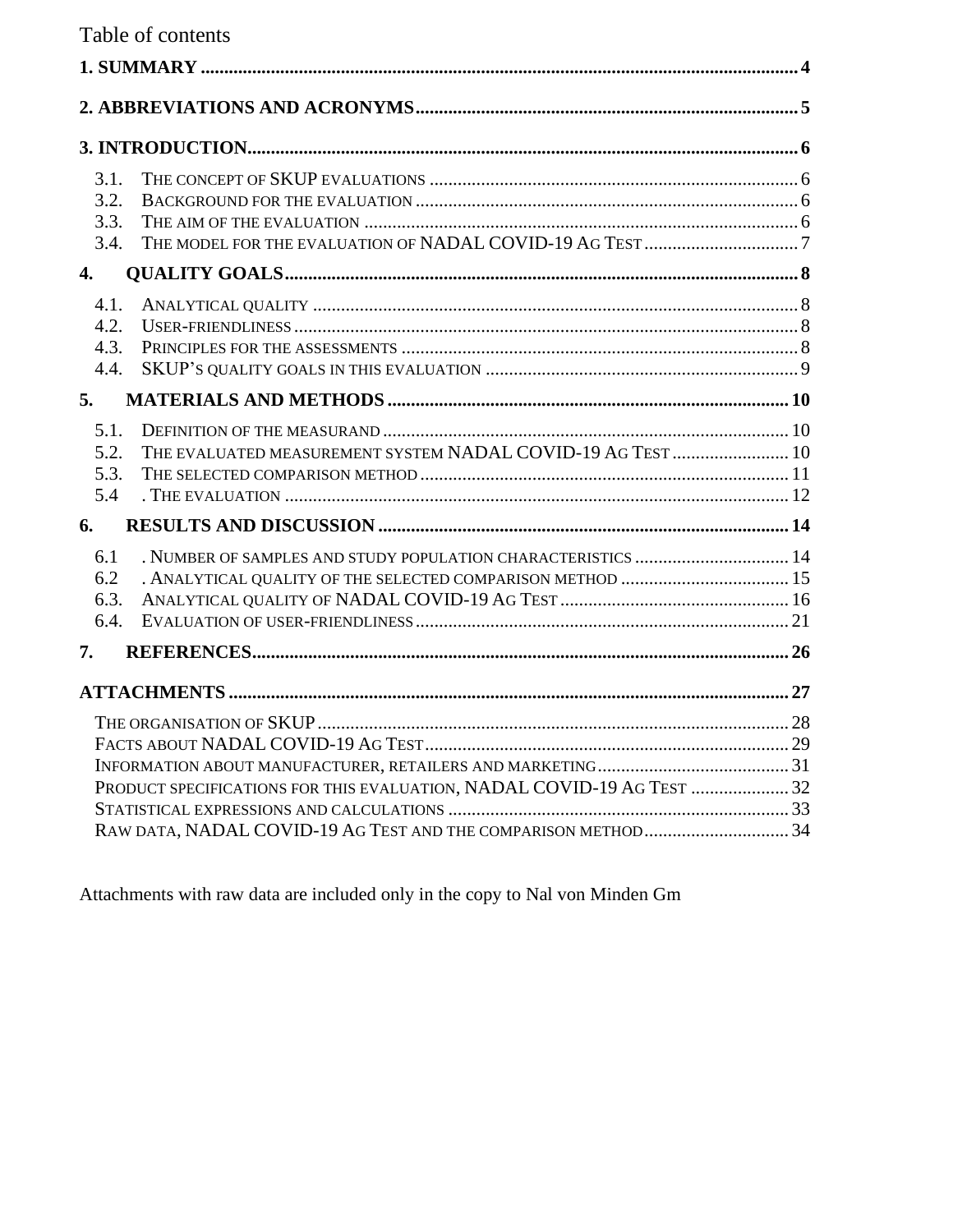Table of contents

| 3.1.<br>3.2.<br>3.3.<br>3.4. |                                                                                                                            |  |
|------------------------------|----------------------------------------------------------------------------------------------------------------------------|--|
| 4.                           |                                                                                                                            |  |
| 4.1.<br>4.2.<br>4.3.<br>4.4. |                                                                                                                            |  |
| 5.                           |                                                                                                                            |  |
| 5.1.<br>5.2.<br>5.3.<br>5.4  | THE EVALUATED MEASUREMENT SYSTEM NADAL COVID-19 AG TEST  10                                                                |  |
| 6.                           |                                                                                                                            |  |
| 6.1<br>6.2<br>6.3.<br>6.4.   | . NUMBER OF SAMPLES AND STUDY POPULATION CHARACTERISTICS  14<br>. ANALYTICAL QUALITY OF THE SELECTED COMPARISON METHOD  15 |  |
| 7.                           |                                                                                                                            |  |
|                              |                                                                                                                            |  |
|                              | PRODUCT SPECIFICATIONS FOR THIS EVALUATION, NADAL COVID-19 AG TEST  32                                                     |  |
|                              |                                                                                                                            |  |

Attachments with raw data are included only in the copy to Nal von Minden Gm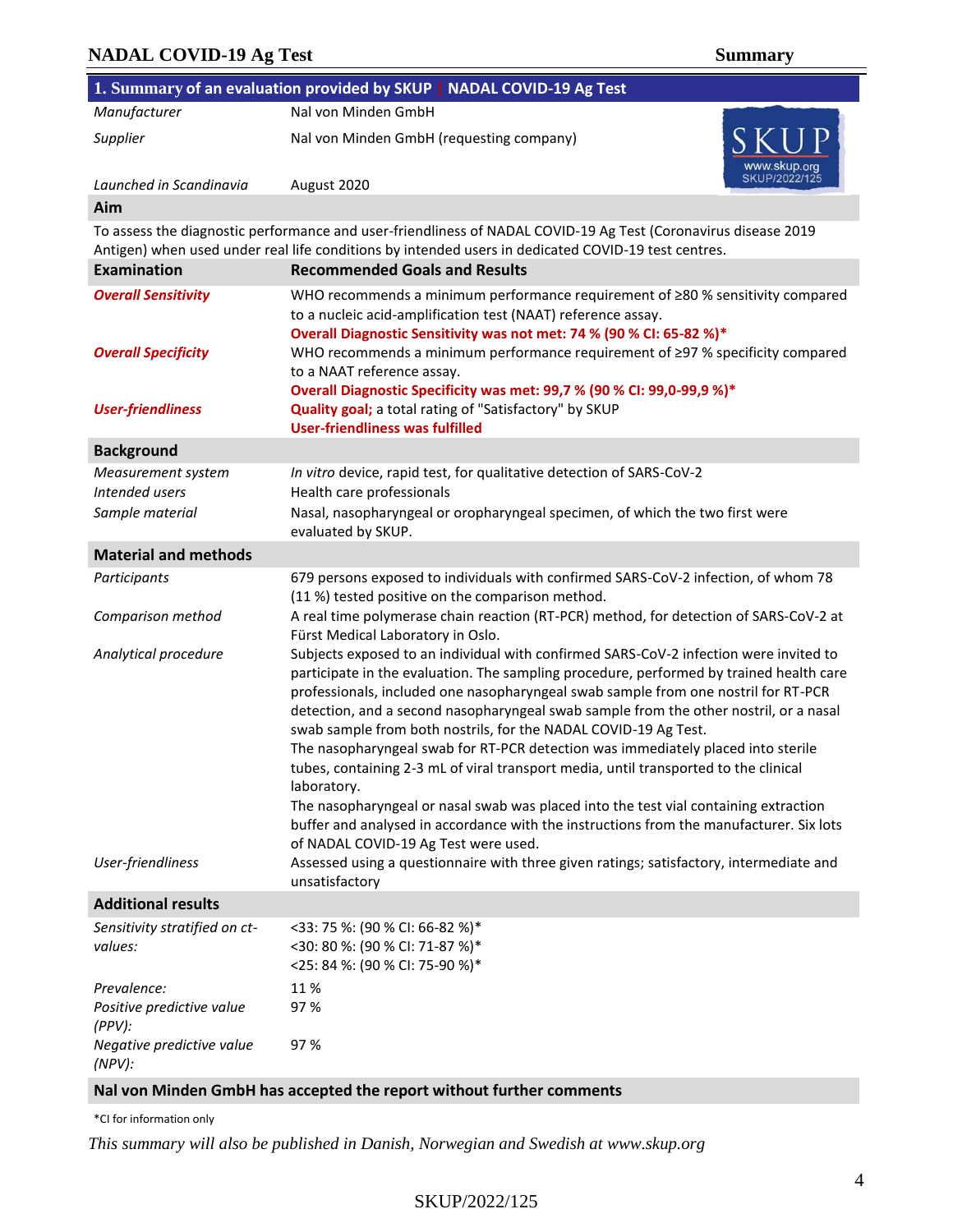### **NADAL COVID-19 Ag Test Summary**

**1. Summary of an evaluation provided by SKUP | NADAL COVID-19 Ag Test** *Manufacturer* Nal von Minden GmbH *Supplier* **Nal von Minden GmbH (requesting company)** *Launched in Scandinavia* August 2020 **Aim** To assess the diagnostic performance and user-friendliness of NADAL COVID-19 Ag Test (Coronavirus disease 2019 Antigen) when used under real life conditions by intended users in dedicated COVID-19 test centres. **Examination Recommended Goals and Results** *Overall Sensitivity* WHO recommends a minimum performance requirement of ≥80 % sensitivity compared to a nucleic acid-amplification test (NAAT) reference assay. **Overall Diagnostic Sensitivity was not met: 74 % (90 % CI: 65-82 %)\*** *Overall Specificity* WHO recommends a minimum performance requirement of ≥97 % specificity compared to a NAAT reference assay. **Overall Diagnostic Specificity was met: 99,7 % (90 % CI: 99,0-99,9 %)\* User-friendliness Quality goal;** a total rating of "Satisfactory" by SKUP **User-friendliness was fulfilled Background** *Measurement system In vitro* device, rapid test, for qualitative detection of SARS-CoV-2 *Intended users* **Health care professionals** *Sample material* Nasal, nasopharyngeal or oropharyngeal specimen, of which the two first were evaluated by SKUP. **Material and methods** *Participants* 679 persons exposed to individuals with confirmed SARS-CoV-2 infection, of whom 78 (11 %) tested positive on the comparison method. *Comparison method* A real time polymerase chain reaction (RT-PCR) method, for detection of SARS-CoV-2 at Fürst Medical Laboratory in Oslo. *Analytical procedure* Subjects exposed to an individual with confirmed SARS-CoV-2 infection were invited to participate in the evaluation. The sampling procedure, performed by trained health care professionals, included one nasopharyngeal swab sample from one nostril for RT-PCR detection, and a second nasopharyngeal swab sample from the other nostril, or a nasal swab sample from both nostrils, for the NADAL COVID-19 Ag Test. The nasopharyngeal swab for RT-PCR detection was immediately placed into sterile tubes, containing 2-3 mL of viral transport media, until transported to the clinical laboratory. The nasopharyngeal or nasal swab was placed into the test vial containing extraction buffer and analysed in accordance with the instructions from the manufacturer. Six lots of NADAL COVID-19 Ag Test were used. *User-friendliness* Assessed using a questionnaire with three given ratings; satisfactory, intermediate and unsatisfactory **Additional results** *Sensitivity stratified on ctvalues:* <33: 75 %: (90 % CI: 66-82 %)\* <30: 80 %: (90 % CI: 71-87 %)\* <25: 84 %: (90 % CI: 75-90 %)\*

Prevalence: 11 % *Positive predictive value (PPV):*  97 % *Negative predictive value (NPV):*  97 %

#### **Nal von Minden GmbH has accepted the report without further comments**

\*CI for information only

*This summary will also be published in Danish, Norwegian and Swedish at www.skup.org*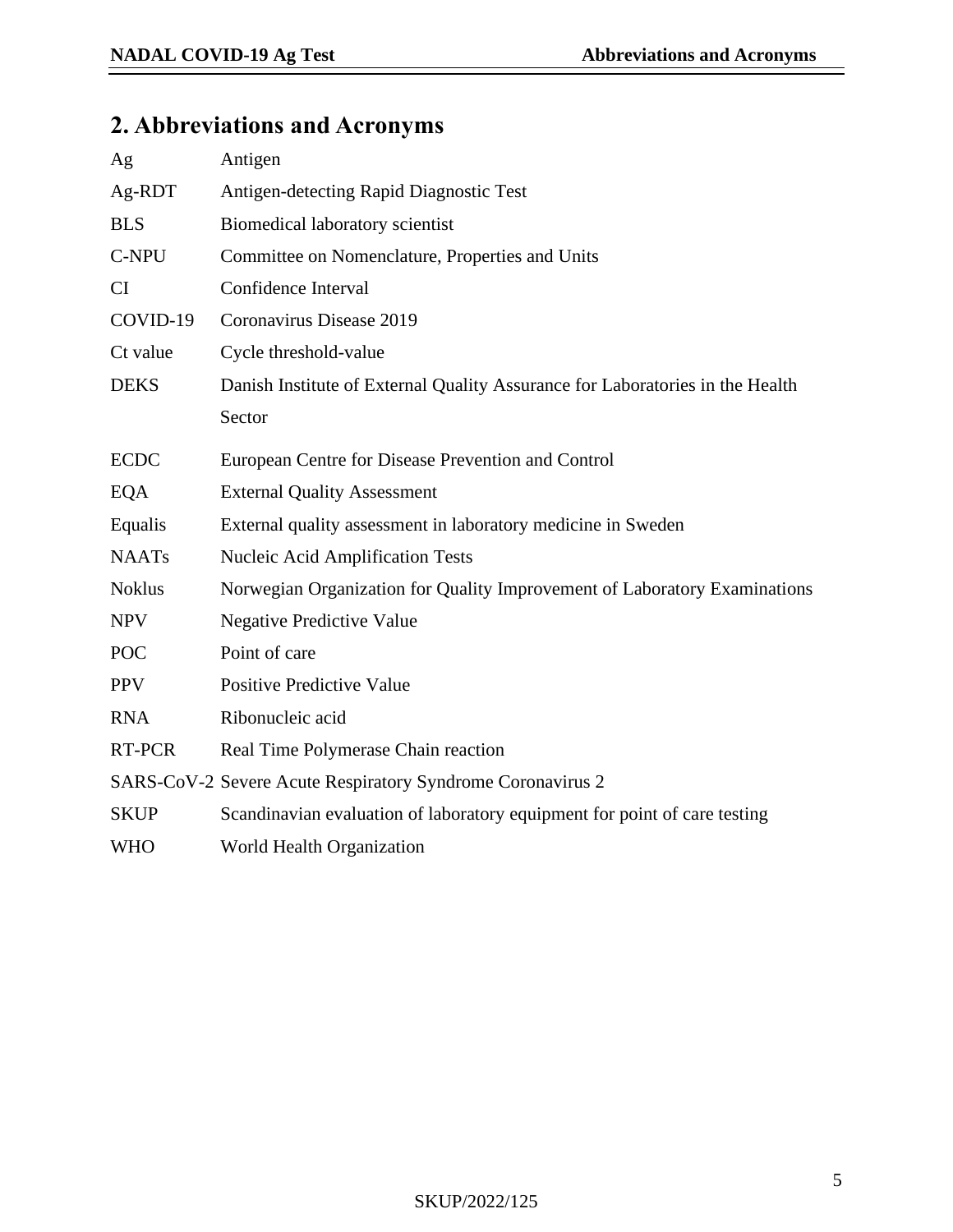# **2. Abbreviations and Acronyms**

| Ag            | Antigen                                                                       |
|---------------|-------------------------------------------------------------------------------|
| Ag-RDT        | Antigen-detecting Rapid Diagnostic Test                                       |
| <b>BLS</b>    | Biomedical laboratory scientist                                               |
| C-NPU         | Committee on Nomenclature, Properties and Units                               |
| CI            | Confidence Interval                                                           |
| COVID-19      | Coronavirus Disease 2019                                                      |
| Ct value      | Cycle threshold-value                                                         |
| <b>DEKS</b>   | Danish Institute of External Quality Assurance for Laboratories in the Health |
|               | Sector                                                                        |
| <b>ECDC</b>   | European Centre for Disease Prevention and Control                            |
| EQA           | <b>External Quality Assessment</b>                                            |
| Equalis       | External quality assessment in laboratory medicine in Sweden                  |
| <b>NAATs</b>  | <b>Nucleic Acid Amplification Tests</b>                                       |
| <b>Noklus</b> | Norwegian Organization for Quality Improvement of Laboratory Examinations     |
| <b>NPV</b>    | <b>Negative Predictive Value</b>                                              |
| <b>POC</b>    | Point of care                                                                 |
| <b>PPV</b>    | <b>Positive Predictive Value</b>                                              |
| <b>RNA</b>    | Ribonucleic acid                                                              |
| RT-PCR        | Real Time Polymerase Chain reaction                                           |
|               | SARS-CoV-2 Severe Acute Respiratory Syndrome Coronavirus 2                    |
| <b>SKUP</b>   | Scandinavian evaluation of laboratory equipment for point of care testing     |
| WHO           | World Health Organization                                                     |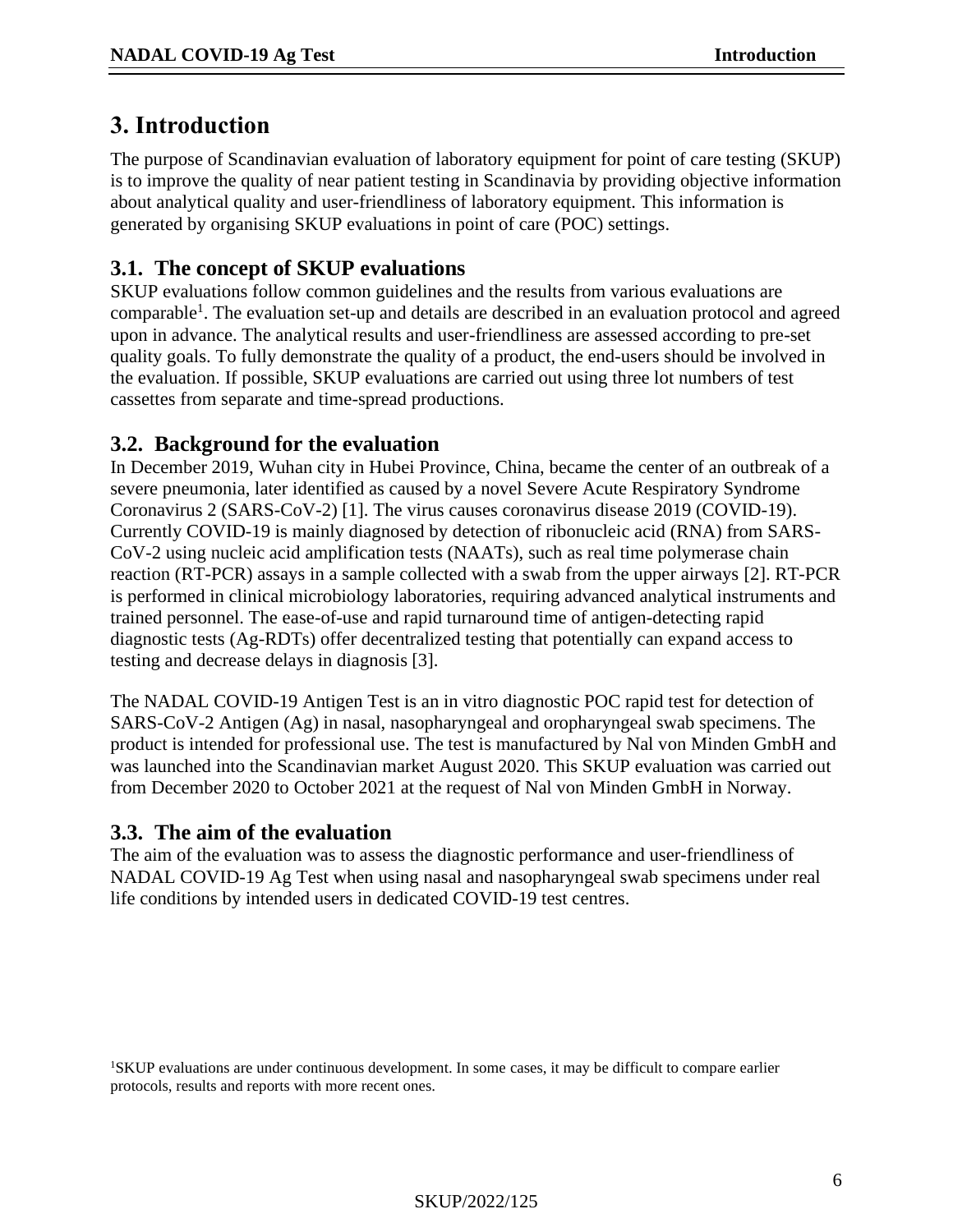## **3. Introduction**

The purpose of Scandinavian evaluation of laboratory equipment for point of care testing (SKUP) is to improve the quality of near patient testing in Scandinavia by providing objective information about analytical quality and user-friendliness of laboratory equipment. This information is generated by organising SKUP evaluations in point of care (POC) settings.

## **3.1. The concept of SKUP evaluations**

SKUP evaluations follow common guidelines and the results from various evaluations are comparable<sup>1</sup>. The evaluation set-up and details are described in an evaluation protocol and agreed upon in advance. The analytical results and user-friendliness are assessed according to pre-set quality goals. To fully demonstrate the quality of a product, the end-users should be involved in the evaluation. If possible, SKUP evaluations are carried out using three lot numbers of test cassettes from separate and time-spread productions.

## **3.2. Background for the evaluation**

In December 2019, Wuhan city in Hubei Province, China, became the center of an outbreak of a severe pneumonia, later identified as caused by a novel Severe Acute Respiratory Syndrome Coronavirus 2 (SARS-CoV-2) [\[1\]](#page-25-0). The virus causes coronavirus disease 2019 (COVID-19). Currently COVID-19 is mainly diagnosed by detection of ribonucleic acid (RNA) from SARS-CoV-2 using nucleic acid amplification tests (NAATs), such as real time polymerase chain reaction (RT-PCR) assays in a sample collected with a swab from the upper airways [\[2\]](#page-25-1). RT-PCR is performed in clinical microbiology laboratories, requiring advanced analytical instruments and trained personnel. The ease-of-use and rapid turnaround time of antigen-detecting rapid diagnostic tests (Ag-RDTs) offer decentralized testing that potentially can expand access to testing and decrease delays in diagnosis [\[3\]](#page-25-2).

The NADAL COVID-19 Antigen Test is an in vitro diagnostic POC rapid test for detection of SARS-CoV-2 Antigen (Ag) in nasal, nasopharyngeal and oropharyngeal swab specimens. The product is intended for professional use. The test is manufactured by Nal von Minden GmbH and was launched into the Scandinavian market August 2020. This SKUP evaluation was carried out from December 2020 to October 2021 at the request of Nal von Minden GmbH in Norway.

## **3.3. The aim of the evaluation**

The aim of the evaluation was to assess the diagnostic performance and user-friendliness of NADAL COVID-19 Ag Test when using nasal and nasopharyngeal swab specimens under real life conditions by intended users in dedicated COVID-19 test centres.

<sup>1</sup>SKUP evaluations are under continuous development. In some cases, it may be difficult to compare earlier protocols, results and reports with more recent ones.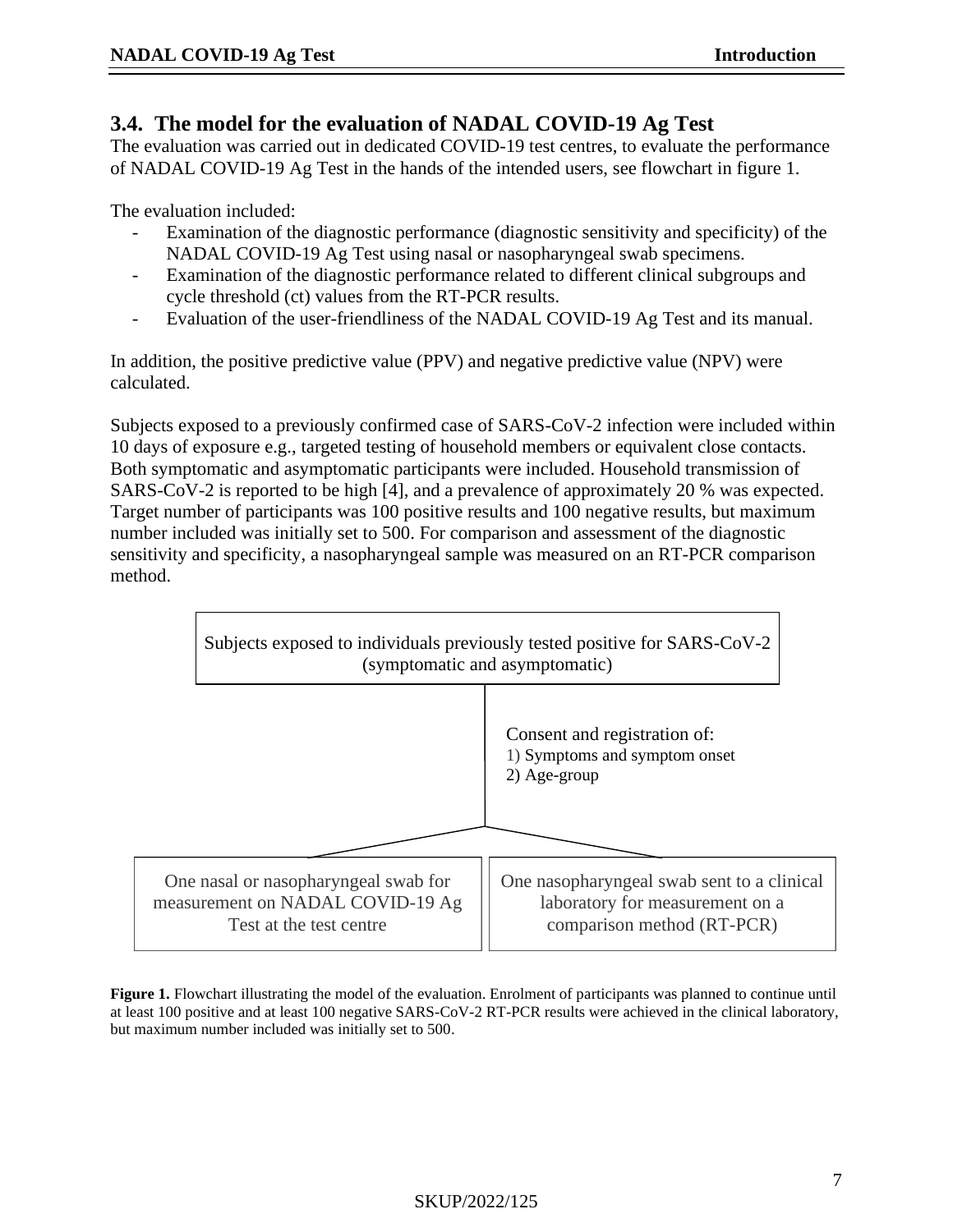### **3.4. The model for the evaluation of NADAL COVID-19 Ag Test**

The evaluation was carried out in dedicated COVID-19 test centres, to evaluate the performance of NADAL COVID-19 Ag Test in the hands of the intended users, see flowchart in figure 1.

The evaluation included:

- Examination of the diagnostic performance (diagnostic sensitivity and specificity) of the NADAL COVID-19 Ag Test using nasal or nasopharyngeal swab specimens.
- Examination of the diagnostic performance related to different clinical subgroups and cycle threshold (ct) values from the RT-PCR results.
- Evaluation of the user-friendliness of the NADAL COVID-19 Ag Test and its manual.

In addition, the positive predictive value (PPV) and negative predictive value (NPV) were calculated.

Subjects exposed to a previously confirmed case of SARS-CoV-2 infection were included within 10 days of exposure e.g., targeted testing of household members or equivalent close contacts. Both symptomatic and asymptomatic participants were included. Household transmission of SARS-CoV-2 is reported to be high [\[4\]](#page-25-3), and a prevalence of approximately 20 % was expected. Target number of participants was 100 positive results and 100 negative results, but maximum number included was initially set to 500. For comparison and assessment of the diagnostic sensitivity and specificity, a nasopharyngeal sample was measured on an RT-PCR comparison method.



**Figure 1.** Flowchart illustrating the model of the evaluation. Enrolment of participants was planned to continue until at least 100 positive and at least 100 negative SARS-CoV-2 RT-PCR results were achieved in the clinical laboratory, but maximum number included was initially set to 500.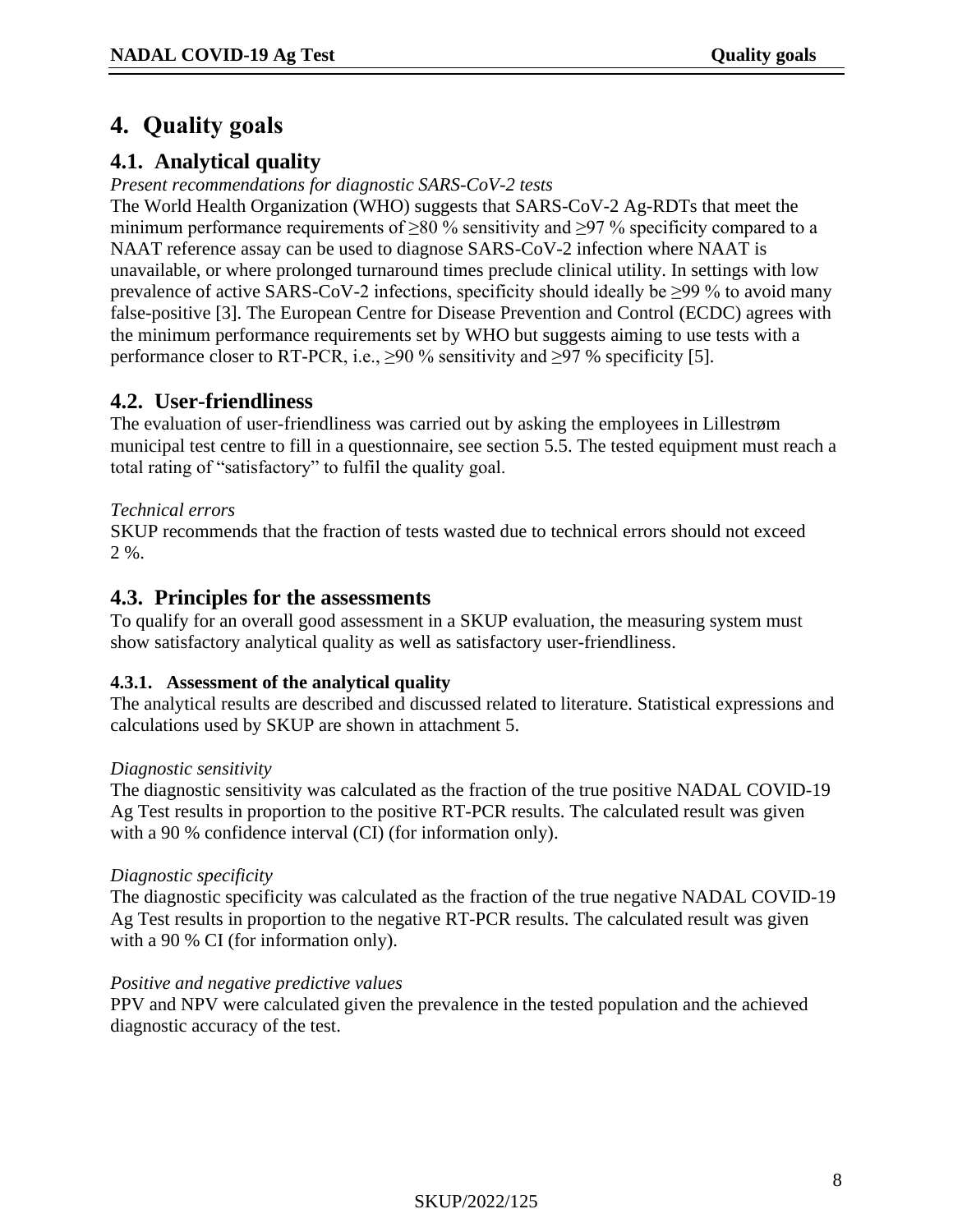## <span id="page-7-0"></span>**4. Quality goals**

## **4.1. Analytical quality**

*Present recommendations for diagnostic SARS-CoV-2 tests* 

The World Health Organization (WHO) suggests that SARS-CoV-2 Ag-RDTs that meet the minimum performance requirements of  $\geq 80$  % sensitivity and  $\geq 97$  % specificity compared to a NAAT reference assay can be used to diagnose SARS-CoV-2 infection where NAAT is unavailable, or where prolonged turnaround times preclude clinical utility. In settings with low prevalence of active SARS-CoV-2 infections, specificity should ideally be  $\geq$ 99 % to avoid many false-positive [\[3\]](#page-25-2). The European Centre for Disease Prevention and Control (ECDC) agrees with the minimum performance requirements set by WHO but suggests aiming to use tests with a performance closer to RT-PCR, i.e.,  $\geq$ 90 % sensitivity and  $\geq$ 97 % specificity [\[5\]](#page-25-4).

## **4.2. User-friendliness**

The evaluation of user-friendliness was carried out by asking the employees in Lillestrøm municipal test centre to fill in a questionnaire, see section 5.5. The tested equipment must reach a total rating of "satisfactory" to fulfil the quality goal.

### *Technical errors*

SKUP recommends that the fraction of tests wasted due to technical errors should not exceed  $2.96$ 

### **4.3. Principles for the assessments**

To qualify for an overall good assessment in a SKUP evaluation, the measuring system must show satisfactory analytical quality as well as satisfactory user-friendliness.

#### **4.3.1. Assessment of the analytical quality**

The analytical results are described and discussed related to literature. Statistical expressions and calculations used by SKUP are shown in attachment 5.

#### *Diagnostic sensitivity*

The diagnostic sensitivity was calculated as the fraction of the true positive NADAL COVID-19 Ag Test results in proportion to the positive RT-PCR results. The calculated result was given with a 90 % confidence interval (CI) (for information only).

#### *Diagnostic specificity*

The diagnostic specificity was calculated as the fraction of the true negative NADAL COVID-19 Ag Test results in proportion to the negative RT-PCR results. The calculated result was given with a 90 % CI (for information only).

#### *Positive and negative predictive values*

PPV and NPV were calculated given the prevalence in the tested population and the achieved diagnostic accuracy of the test.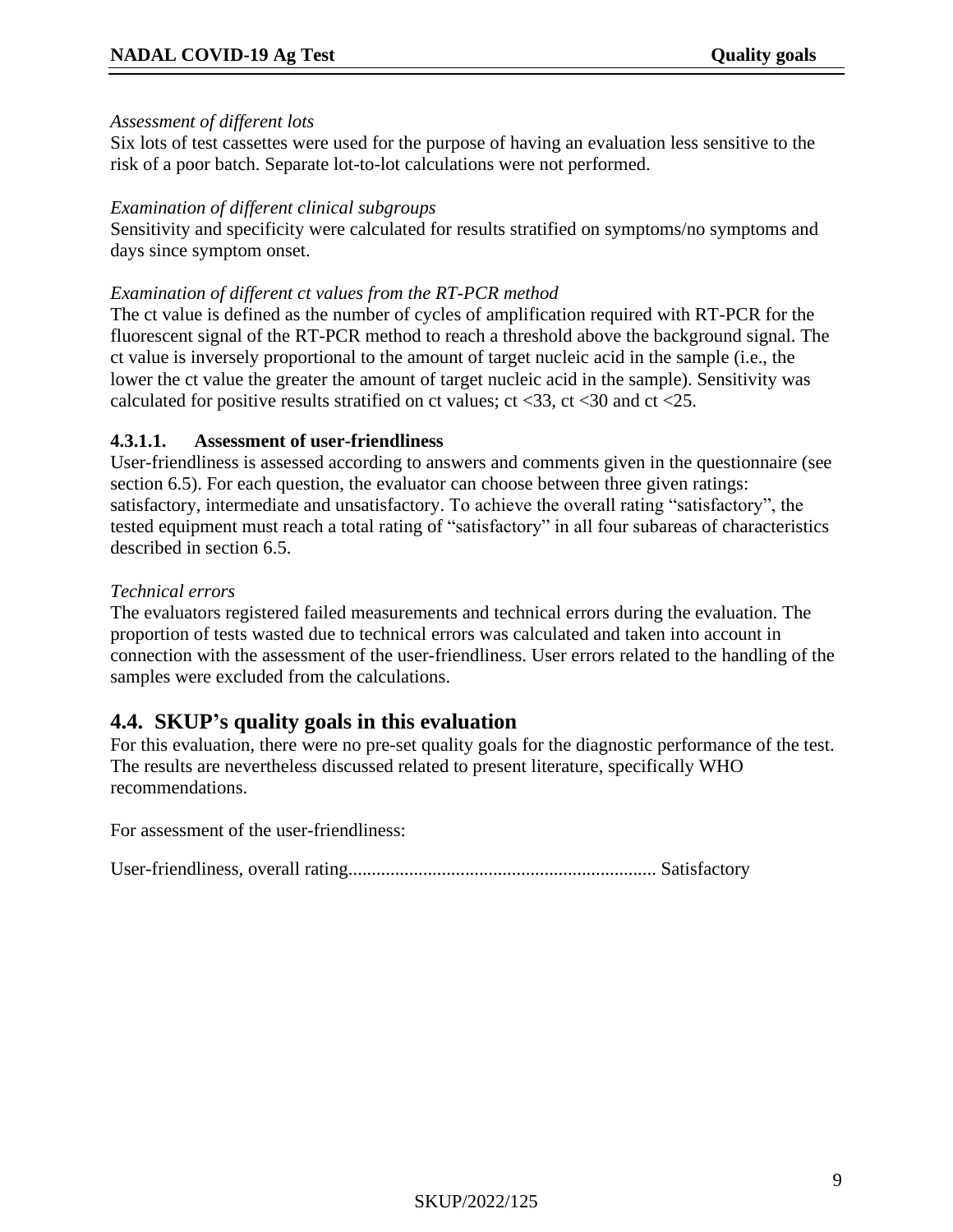#### *Assessment of different lots*

Six lots of test cassettes were used for the purpose of having an evaluation less sensitive to the risk of a poor batch. Separate lot-to-lot calculations were not performed.

#### *Examination of different clinical subgroups*

Sensitivity and specificity were calculated for results stratified on symptoms/no symptoms and days since symptom onset.

#### *Examination of different ct values from the RT-PCR method*

The ct value is defined as the number of cycles of amplification required with RT-PCR for the fluorescent signal of the RT-PCR method to reach a threshold above the background signal. The ct value is inversely proportional to the amount of target nucleic acid in the sample (i.e., the lower the ct value the greater the amount of target nucleic acid in the sample). Sensitivity was calculated for positive results stratified on ct values;  $ct < 33$ ,  $ct < 30$  and  $ct < 25$ .

#### **4.3.1.1. Assessment of user-friendliness**

User-friendliness is assessed according to answers and comments given in the questionnaire (see section 6.5). For each question, the evaluator can choose between three given ratings: satisfactory, intermediate and unsatisfactory. To achieve the overall rating "satisfactory", the tested equipment must reach a total rating of "satisfactory" in all four subareas of characteristics described in section 6.5.

#### *Technical errors*

The evaluators registered failed measurements and technical errors during the evaluation. The proportion of tests wasted due to technical errors was calculated and taken into account in connection with the assessment of the user-friendliness. User errors related to the handling of the samples were excluded from the calculations.

## **4.4. SKUP's quality goals in this evaluation**

For this evaluation, there were no pre-set quality goals for the diagnostic performance of the test. The results are nevertheless discussed related to present literature, specifically WHO recommendations.

For assessment of the user-friendliness:

User-friendliness, overall rating.................................................................. Satisfactory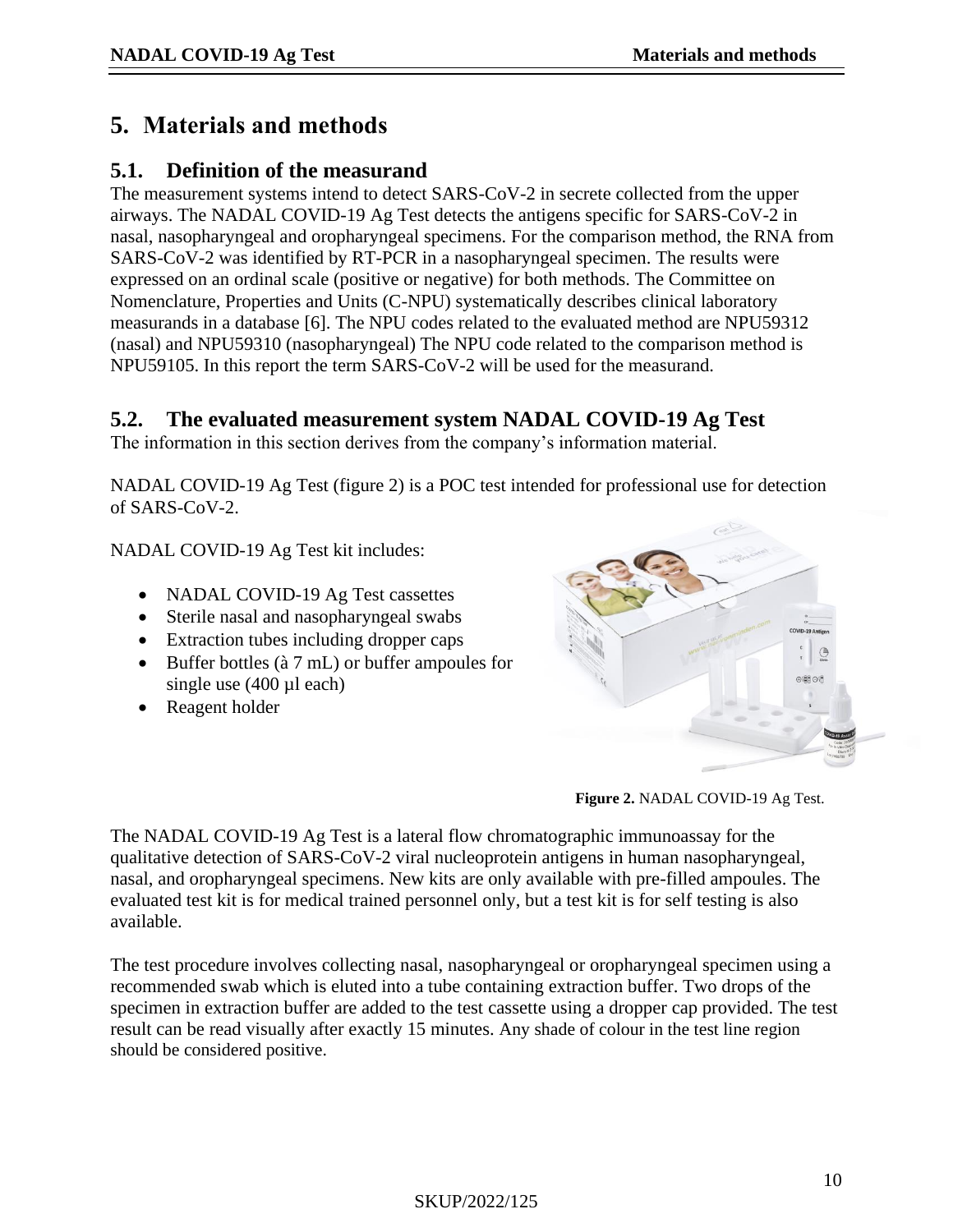## <span id="page-9-0"></span>**5. Materials and methods**

## **5.1. Definition of the measurand**

The measurement systems intend to detect SARS-CoV-2 in secrete collected from the upper airways. The NADAL COVID-19 Ag Test detects the antigens specific for SARS-CoV-2 in nasal, nasopharyngeal and oropharyngeal specimens. For the comparison method, the RNA from SARS-CoV-2 was identified by RT-PCR in a nasopharyngeal specimen. The results were expressed on an ordinal scale (positive or negative) for both methods. The Committee on Nomenclature, Properties and Units (C-NPU) systematically describes clinical laboratory measurands in a database [\[6\]](#page-25-5). The NPU codes related to the evaluated method are NPU59312 (nasal) and NPU59310 (nasopharyngeal) The NPU code related to the comparison method is NPU59105. In this report the term SARS-CoV-2 will be used for the measurand.

## **5.2. The evaluated measurement system NADAL COVID-19 Ag Test**

The information in this section derives from the company's information material.

NADAL COVID-19 Ag Test (figure 2) is a POC test intended for professional use for detection of SARS-CoV-2.

NADAL COVID-19 Ag Test kit includes:

- NADAL COVID-19 Ag Test cassettes
- Sterile nasal and nasopharyngeal swabs
- Extraction tubes including dropper caps
- Buffer bottles (à 7 mL) or buffer ampoules for single use  $(400 \mu l \text{ each})$
- Reagent holder



**Figure 2.** NADAL COVID-19 Ag Test.

The NADAL COVID-19 Ag Test is a lateral flow chromatographic immunoassay for the qualitative detection of SARS-CoV-2 viral nucleoprotein antigens in human nasopharyngeal, nasal, and oropharyngeal specimens. New kits are only available with pre-filled ampoules. The evaluated test kit is for medical trained personnel only, but a test kit is for self testing is also available.

The test procedure involves collecting nasal, nasopharyngeal or oropharyngeal specimen using a recommended swab which is eluted into a tube containing extraction buffer. Two drops of the specimen in extraction buffer are added to the test cassette using a dropper cap provided. The test result can be read visually after exactly 15 minutes. Any shade of colour in the test line region should be considered positive.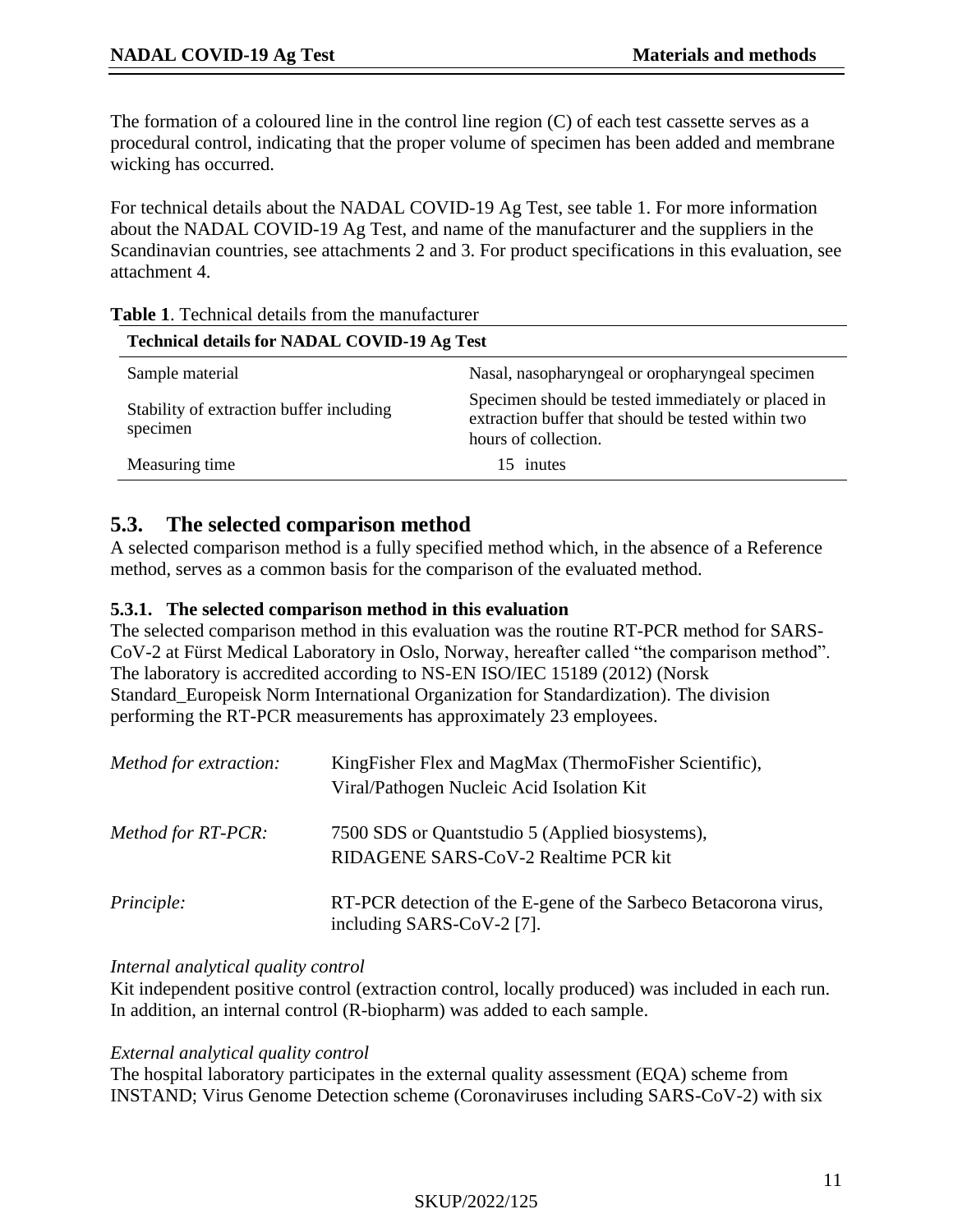The formation of a coloured line in the control line region (C) of each test cassette serves as a procedural control, indicating that the proper volume of specimen has been added and membrane wicking has occurred.

For technical details about the NADAL COVID-19 Ag Test, see table 1. For more information about the NADAL COVID-19 Ag Test, and name of the manufacturer and the suppliers in the Scandinavian countries, see attachments 2 and 3. For product specifications in this evaluation, see attachment 4.

| <b>Technical details for NADAL COVID-19 Ag Test</b>  |                                                                                                                                  |  |  |  |
|------------------------------------------------------|----------------------------------------------------------------------------------------------------------------------------------|--|--|--|
| Sample material                                      | Nasal, nasopharyngeal or oropharyngeal specimen                                                                                  |  |  |  |
| Stability of extraction buffer including<br>specimen | Specimen should be tested immediately or placed in<br>extraction buffer that should be tested within two<br>hours of collection. |  |  |  |
| Measuring time                                       | 15 inutes                                                                                                                        |  |  |  |

|  |  | <b>Table 1.</b> Technical details from the manufacturer |
|--|--|---------------------------------------------------------|
|  |  |                                                         |

## **5.3. The selected comparison method**

A selected comparison method is a fully specified method which, in the absence of a Reference method, serves as a common basis for the comparison of the evaluated method.

#### **5.3.1. The selected comparison method in this evaluation**

The selected comparison method in this evaluation was the routine RT-PCR method for SARS-CoV-2 at Fürst Medical Laboratory in Oslo, Norway, hereafter called "the comparison method". The laboratory is accredited according to NS-EN ISO/IEC 15189 (2012) (Norsk Standard\_Europeisk Norm International Organization for Standardization). The division performing the RT-PCR measurements has approximately 23 employees.

| Method for extraction: | KingFisher Flex and MagMax (ThermoFisher Scientific),<br>Viral/Pathogen Nucleic Acid Isolation Kit |
|------------------------|----------------------------------------------------------------------------------------------------|
| Method for RT-PCR:     | 7500 SDS or Quantstudio 5 (Applied biosystems),<br>RIDAGENE SARS-CoV-2 Realtime PCR kit            |
| Principle:             | RT-PCR detection of the E-gene of the Sarbeco Betacorona virus,<br>including SARS-CoV-2 $[7]$ .    |

#### *Internal analytical quality control*

Kit independent positive control (extraction control, locally produced) was included in each run. In addition, an internal control (R-biopharm) was added to each sample.

#### *External analytical quality control*

The hospital laboratory participates in the external quality assessment (EQA) scheme from INSTAND; Virus Genome Detection scheme (Coronaviruses including SARS-CoV-2) with six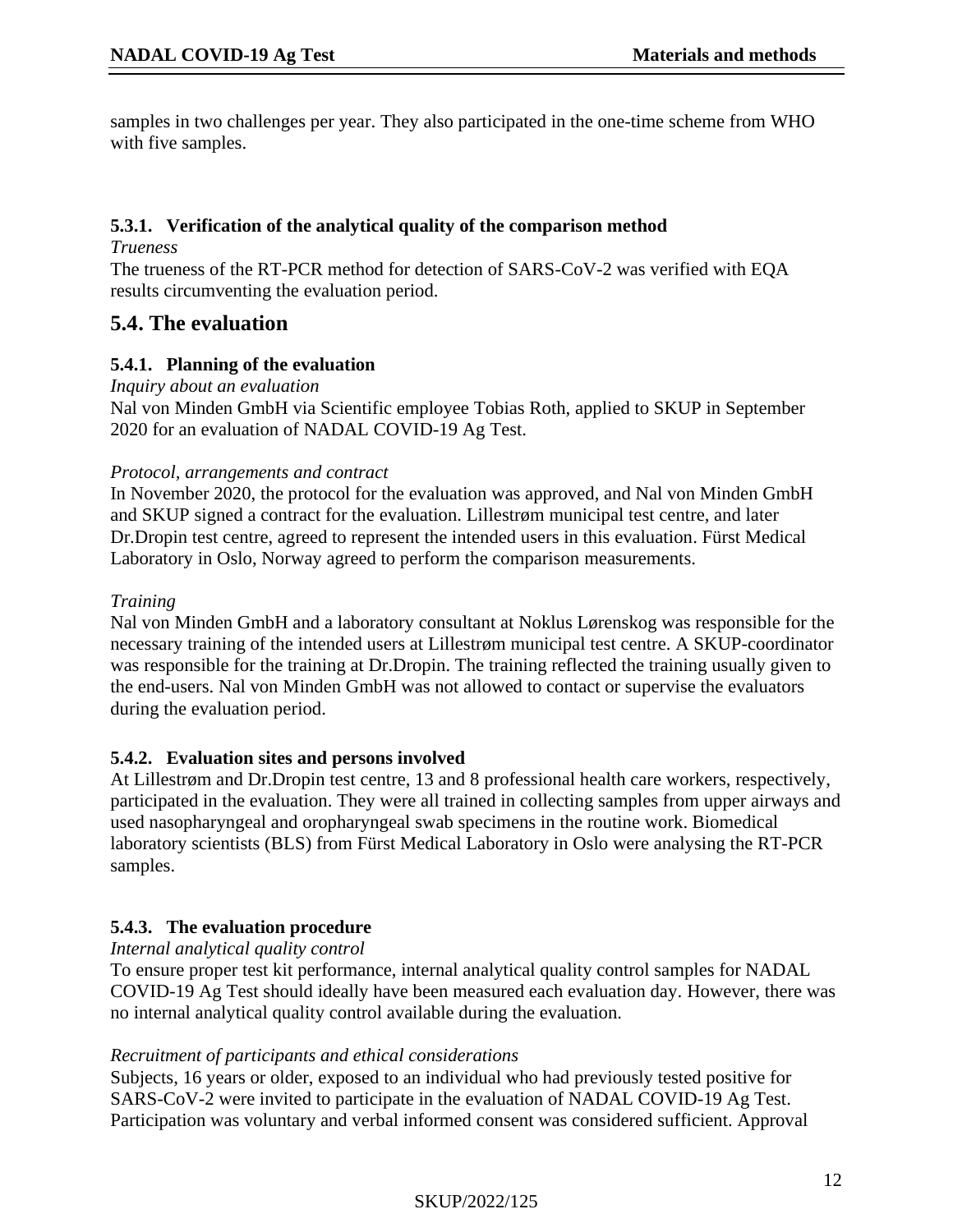samples in two challenges per year. They also participated in the one-time scheme from WHO with five samples.

#### **5.3.1. Verification of the analytical quality of the comparison method**

*Trueness*

The trueness of the RT-PCR method for detection of SARS-CoV-2 was verified with EQA results circumventing the evaluation period.

## **5.4. The evaluation**

### **5.4.1. Planning of the evaluation**

*Inquiry about an evaluation*

Nal von Minden GmbH via Scientific employee Tobias Roth, applied to SKUP in September 2020 for an evaluation of NADAL COVID-19 Ag Test.

#### *Protocol, arrangements and contract*

In November 2020, the protocol for the evaluation was approved, and Nal von Minden GmbH and SKUP signed a contract for the evaluation. Lillestrøm municipal test centre, and later Dr.Dropin test centre, agreed to represent the intended users in this evaluation. Fürst Medical Laboratory in Oslo, Norway agreed to perform the comparison measurements.

### *Training*

Nal von Minden GmbH and a laboratory consultant at Noklus Lørenskog was responsible for the necessary training of the intended users at Lillestrøm municipal test centre. A SKUP-coordinator was responsible for the training at Dr.Dropin. The training reflected the training usually given to the end-users. Nal von Minden GmbH was not allowed to contact or supervise the evaluators during the evaluation period.

### **5.4.2. Evaluation sites and persons involved**

At Lillestrøm and Dr.Dropin test centre, 13 and 8 professional health care workers, respectively, participated in the evaluation. They were all trained in collecting samples from upper airways and used nasopharyngeal and oropharyngeal swab specimens in the routine work. Biomedical laboratory scientists (BLS) from Fürst Medical Laboratory in Oslo were analysing the RT-PCR samples.

### **5.4.3. The evaluation procedure**

*Internal analytical quality control*

To ensure proper test kit performance, internal analytical quality control samples for NADAL COVID-19 Ag Test should ideally have been measured each evaluation day. However, there was no internal analytical quality control available during the evaluation.

### *Recruitment of participants and ethical considerations*

Subjects, 16 years or older, exposed to an individual who had previously tested positive for SARS-CoV-2 were invited to participate in the evaluation of NADAL COVID-19 Ag Test. Participation was voluntary and verbal informed consent was considered sufficient. Approval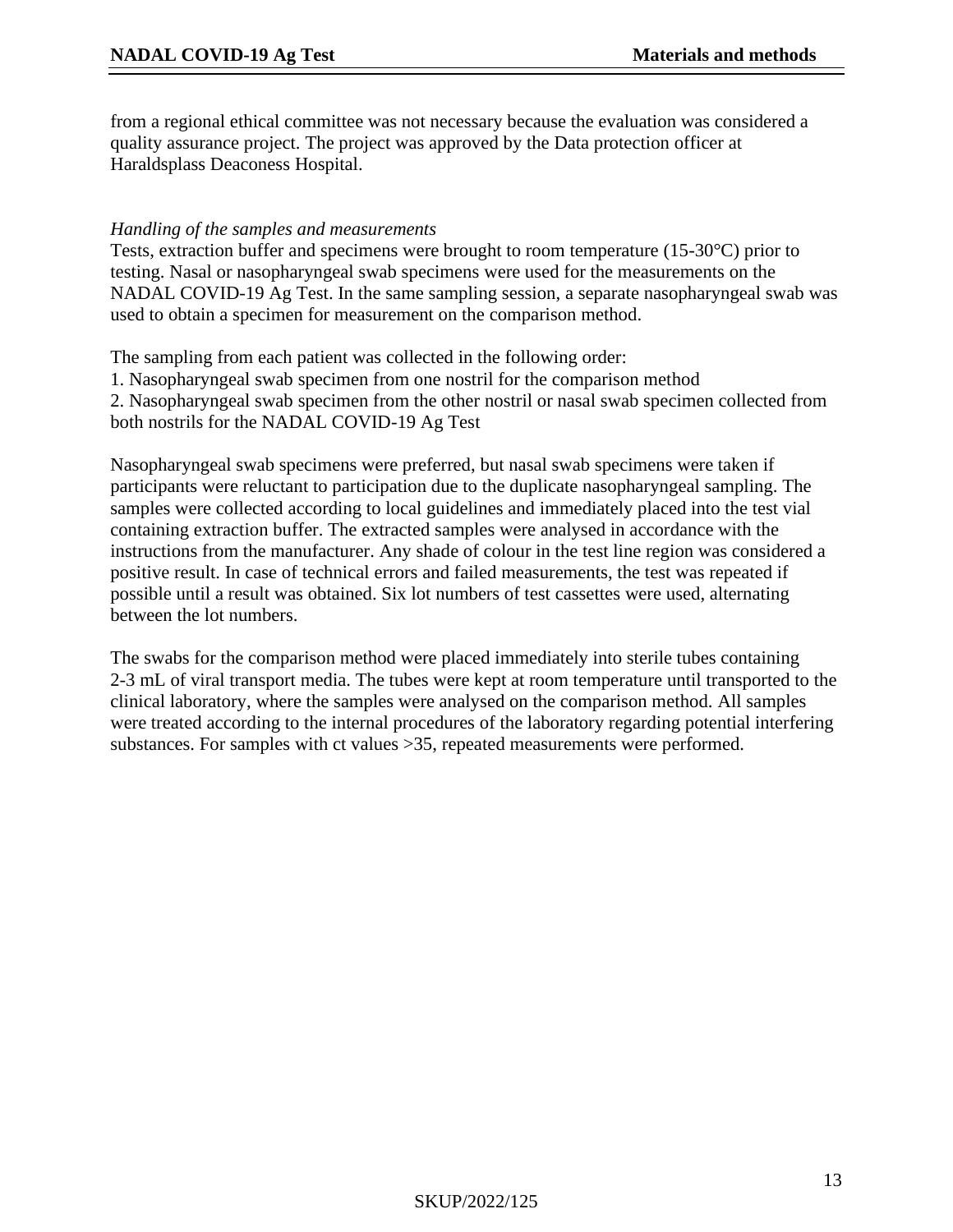from a regional ethical committee was not necessary because the evaluation was considered a quality assurance project. The project was approved by the Data protection officer at Haraldsplass Deaconess Hospital.

#### *Handling of the samples and measurements*

Tests, extraction buffer and specimens were brought to room temperature (15-30°C) prior to testing. Nasal or nasopharyngeal swab specimens were used for the measurements on the NADAL COVID-19 Ag Test. In the same sampling session, a separate nasopharyngeal swab was used to obtain a specimen for measurement on the comparison method.

The sampling from each patient was collected in the following order:

1. Nasopharyngeal swab specimen from one nostril for the comparison method 2. Nasopharyngeal swab specimen from the other nostril or nasal swab specimen collected from both nostrils for the NADAL COVID-19 Ag Test

Nasopharyngeal swab specimens were preferred, but nasal swab specimens were taken if participants were reluctant to participation due to the duplicate nasopharyngeal sampling. The samples were collected according to local guidelines and immediately placed into the test vial containing extraction buffer. The extracted samples were analysed in accordance with the instructions from the manufacturer. Any shade of colour in the test line region was considered a positive result. In case of technical errors and failed measurements, the test was repeated if possible until a result was obtained. Six lot numbers of test cassettes were used, alternating between the lot numbers.

The swabs for the comparison method were placed immediately into sterile tubes containing 2-3 mL of viral transport media. The tubes were kept at room temperature until transported to the clinical laboratory, where the samples were analysed on the comparison method. All samples were treated according to the internal procedures of the laboratory regarding potential interfering substances. For samples with ct values >35, repeated measurements were performed.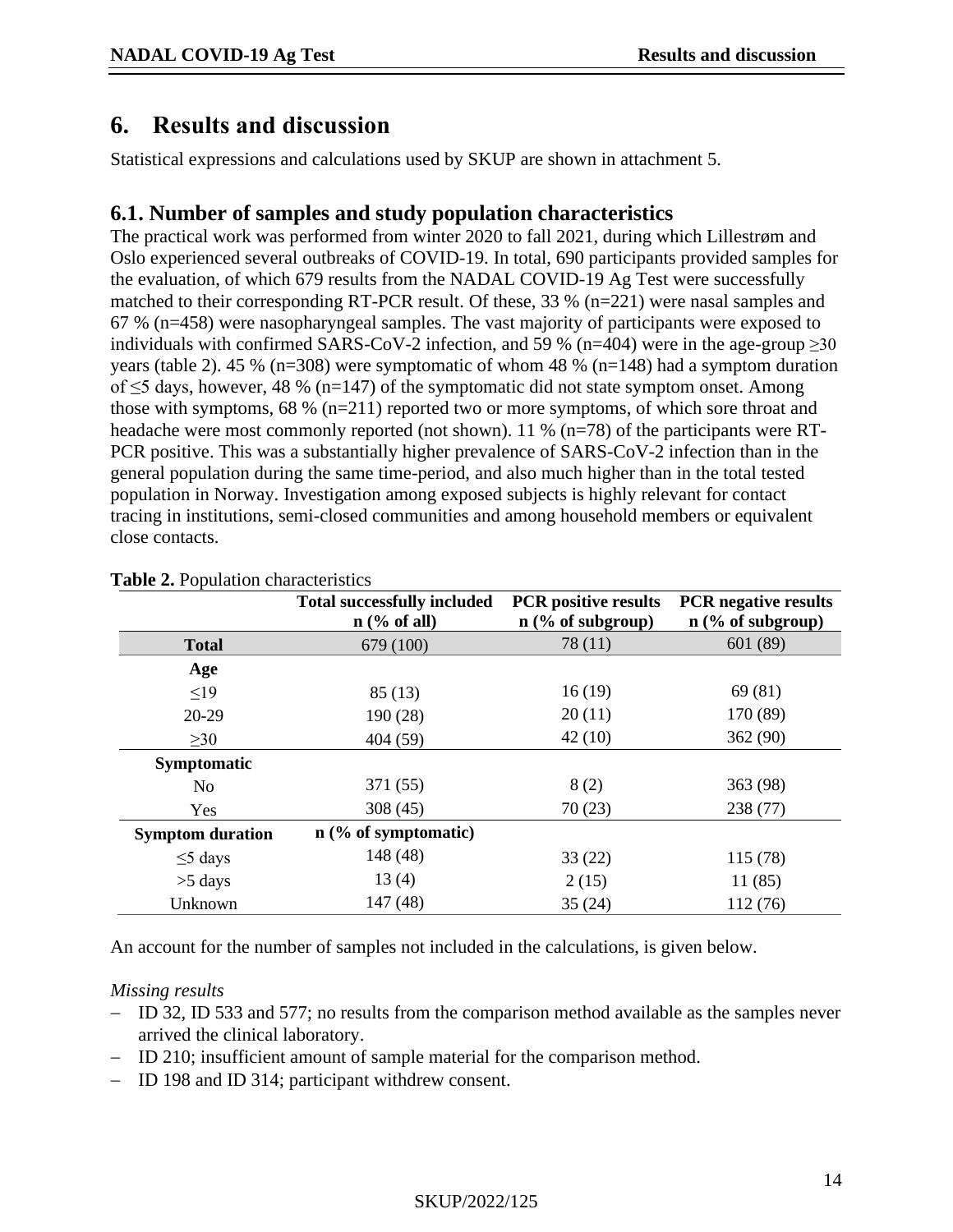## <span id="page-13-0"></span>**6. Results and discussion**

Statistical expressions and calculations used by SKUP are shown in attachment 5.

## <span id="page-13-1"></span>**6.1. Number of samples and study population characteristics**

The practical work was performed from winter 2020 to fall 2021, during which Lillestrøm and Oslo experienced several outbreaks of COVID-19. In total, 690 participants provided samples for the evaluation, of which 679 results from the NADAL COVID-19 Ag Test were successfully matched to their corresponding RT-PCR result. Of these, 33 % (n=221) were nasal samples and 67 % (n=458) were nasopharyngeal samples. The vast majority of participants were exposed to individuals with confirmed SARS-CoV-2 infection, and 59 % (n=404) were in the age-group  $\geq$ 30 years (table 2). 45 % (n=308) were symptomatic of whom 48 % (n=148) had a symptom duration of ≤5 days, however, 48 % (n=147) of the symptomatic did not state symptom onset. Among those with symptoms, 68 % (n=211) reported two or more symptoms, of which sore throat and headache were most commonly reported (not shown). 11 % (n=78) of the participants were RT-PCR positive. This was a substantially higher prevalence of SARS-CoV-2 infection than in the general population during the same time-period, and also much higher than in the total tested population in Norway. Investigation among exposed subjects is highly relevant for contact tracing in institutions, semi-closed communities and among household members or equivalent close contacts.

|                         | <b>Total successfully included</b> | <b>PCR</b> positive results | <b>PCR</b> negative results |
|-------------------------|------------------------------------|-----------------------------|-----------------------------|
|                         | $n$ (% of all)                     | $n$ (% of subgroup)         | $n$ (% of subgroup)         |
| <b>Total</b>            | 679 (100)                          | 78 (11)                     | 601 (89)                    |
| Age                     |                                    |                             |                             |
| $\leq$ 19               | 85(13)                             | 16(19)                      | 69 (81)                     |
| $20-29$                 | 190 (28)                           | 20(11)                      | 170 (89)                    |
| $\geq 30$               | 404 (59)                           | 42(10)                      | 362(90)                     |
| Symptomatic             |                                    |                             |                             |
| N <sub>o</sub>          | 371 (55)                           | 8(2)                        | 363 (98)                    |
| Yes                     | 308(45)                            | 70(23)                      | 238 (77)                    |
| <b>Symptom duration</b> | $n$ (% of symptomatic)             |                             |                             |
| $\leq$ 5 days           | 148 (48)                           | 33(22)                      | 115 (78)                    |
| $>5$ days               | 13(4)                              | 2(15)                       | 11(85)                      |
| Unknown                 | 147 (48)                           | 35(24)                      | 112 (76)                    |

#### **Table 2.** Population characteristics

An account for the number of samples not included in the calculations, is given below.

#### *Missing results*

- − ID 32, ID 533 and 577; no results from the comparison method available as the samples never arrived the clinical laboratory.
- − ID 210; insufficient amount of sample material for the comparison method.
- − ID 198 and ID 314; participant withdrew consent.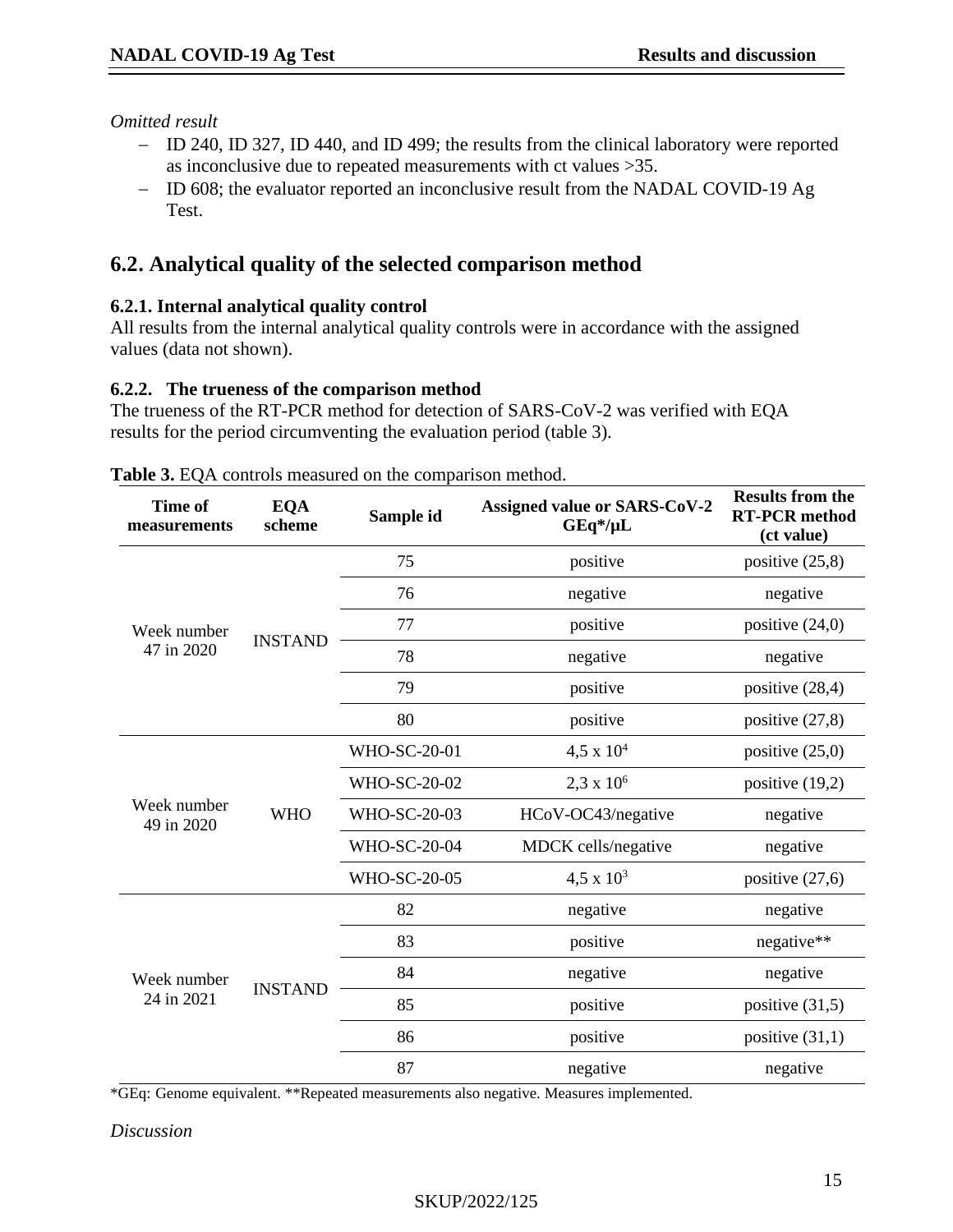*Omitted result* 

- − ID 240, ID 327, ID 440, and ID 499; the results from the clinical laboratory were reported as inconclusive due to repeated measurements with ct values >35.
- − ID 608; the evaluator reported an inconclusive result from the NADAL COVID-19 Ag Test.

## **6.2. Analytical quality of the selected comparison method**

#### **6.2.1. Internal analytical quality control**

All results from the internal analytical quality controls were in accordance with the assigned values (data not shown).

#### **6.2.2. The trueness of the comparison method**

The trueness of the RT-PCR method for detection of SARS-CoV-2 was verified with EQA results for the period circumventing the evaluation period (table 3).

| <b>Time of</b><br>measurements | <b>EQA</b><br>scheme | Sample id           | <b>Assigned value or SARS-CoV-2</b><br>$GEq^*/\mu L$ | <b>Results from the</b><br><b>RT-PCR</b> method<br>(ct value) |
|--------------------------------|----------------------|---------------------|------------------------------------------------------|---------------------------------------------------------------|
|                                |                      | 75                  | positive                                             | positive $(25,8)$                                             |
|                                |                      | 76                  | negative                                             | negative                                                      |
| Week number                    | <b>INSTAND</b>       | 77                  | positive                                             | positive $(24,0)$                                             |
| 47 in 2020                     |                      | 78                  | negative                                             | negative                                                      |
|                                |                      | 79                  | positive                                             | positive $(28,4)$                                             |
|                                |                      | 80                  | positive                                             | positive $(27,8)$                                             |
|                                | <b>WHO</b>           | <b>WHO-SC-20-01</b> | $4,5 \times 10^{4}$                                  | positive $(25,0)$                                             |
|                                |                      | <b>WHO-SC-20-02</b> | $2,3 \times 10^6$                                    | positive $(19,2)$                                             |
| Week number<br>49 in 2020      |                      | <b>WHO-SC-20-03</b> | HCoV-OC43/negative                                   | negative                                                      |
|                                |                      | <b>WHO-SC-20-04</b> | MDCK cells/negative                                  | negative                                                      |
|                                |                      | <b>WHO-SC-20-05</b> | $4,5 \times 10^3$                                    | positive $(27,6)$                                             |
|                                |                      | 82                  | negative                                             | negative                                                      |
|                                |                      | 83                  | positive                                             | negative**                                                    |
| Week number                    |                      | 84                  | negative                                             | negative                                                      |
| 24 in 2021                     | <b>INSTAND</b>       | 85                  | positive                                             | positive (31,5)                                               |
|                                |                      | 86                  | positive                                             | positive $(31,1)$                                             |
|                                |                      | 87                  | negative                                             | negative                                                      |

**Table 3.** EQA controls measured on the comparison method.

\*GEq: Genome equivalent. \*\*Repeated measurements also negative. Measures implemented.

#### *Discussion*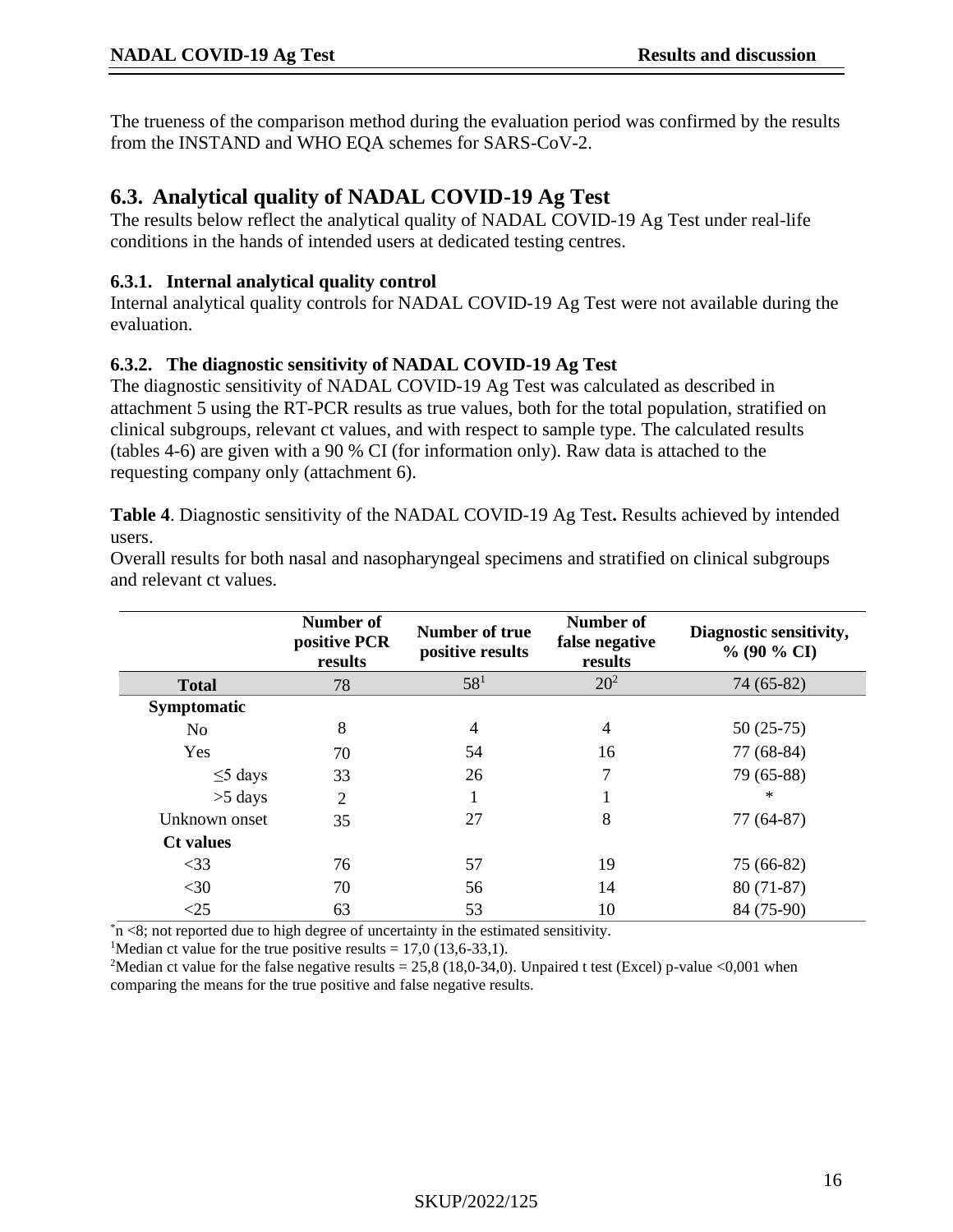The trueness of the comparison method during the evaluation period was confirmed by the results from the INSTAND and WHO EQA schemes for SARS-CoV-2.

## **6.3. Analytical quality of NADAL COVID-19 Ag Test**

The results below reflect the analytical quality of NADAL COVID-19 Ag Test under real-life conditions in the hands of intended users at dedicated testing centres.

#### **6.3.1. Internal analytical quality control**

Internal analytical quality controls for NADAL COVID-19 Ag Test were not available during the evaluation.

### **6.3.2. The diagnostic sensitivity of NADAL COVID-19 Ag Test**

The diagnostic sensitivity of NADAL COVID-19 Ag Test was calculated as described in attachment 5 using the RT-PCR results as true values, both for the total population, stratified on clinical subgroups, relevant ct values, and with respect to sample type. The calculated results (tables 4-6) are given with a 90 % CI (for information only). Raw data is attached to the requesting company only (attachment 6).

**Table 4**. Diagnostic sensitivity of the NADAL COVID-19 Ag Test**.** Results achieved by intended users.

Overall results for both nasal and nasopharyngeal specimens and stratified on clinical subgroups and relevant ct values.

|                    | Number of<br>positive PCR<br>results | Number of true<br>positive results | Number of<br>false negative<br>results | Diagnostic sensitivity,<br>$\%$ (90 % CI) |
|--------------------|--------------------------------------|------------------------------------|----------------------------------------|-------------------------------------------|
| <b>Total</b>       | 78                                   | 58 <sup>1</sup>                    | $20^{2}$                               | 74 (65-82)                                |
| <b>Symptomatic</b> |                                      |                                    |                                        |                                           |
| N <sub>o</sub>     | 8                                    | 4                                  | 4                                      | $50(25-75)$                               |
| Yes                | 70                                   | 54                                 | 16                                     | 77 (68-84)                                |
| $\leq$ 5 days      | 33                                   | 26                                 | 7                                      | 79 (65-88)                                |
| $>5$ days          | $\overline{2}$                       |                                    |                                        | $\ast$                                    |
| Unknown onset      | 35                                   | 27                                 | 8                                      | 77 (64-87)                                |
| <b>Ct</b> values   |                                      |                                    |                                        |                                           |
| $<$ 33             | 76                                   | 57                                 | 19                                     | 75 (66-82)                                |
| $<$ 30             | 70                                   | 56                                 | 14                                     | $80(71-87)$                               |
| <25                | 63                                   | 53                                 | 10                                     | 84 (75-90)                                |

 $*n < 8$ ; not reported due to high degree of uncertainty in the estimated sensitivity.

<sup>1</sup>Median ct value for the true positive results =  $17,0$  ( $13,6-33,1$ ).

<sup>2</sup>Median ct value for the false negative results = 25,8 (18,0-34,0). Unpaired t test (Excel) p-value <0,001 when comparing the means for the true positive and false negative results.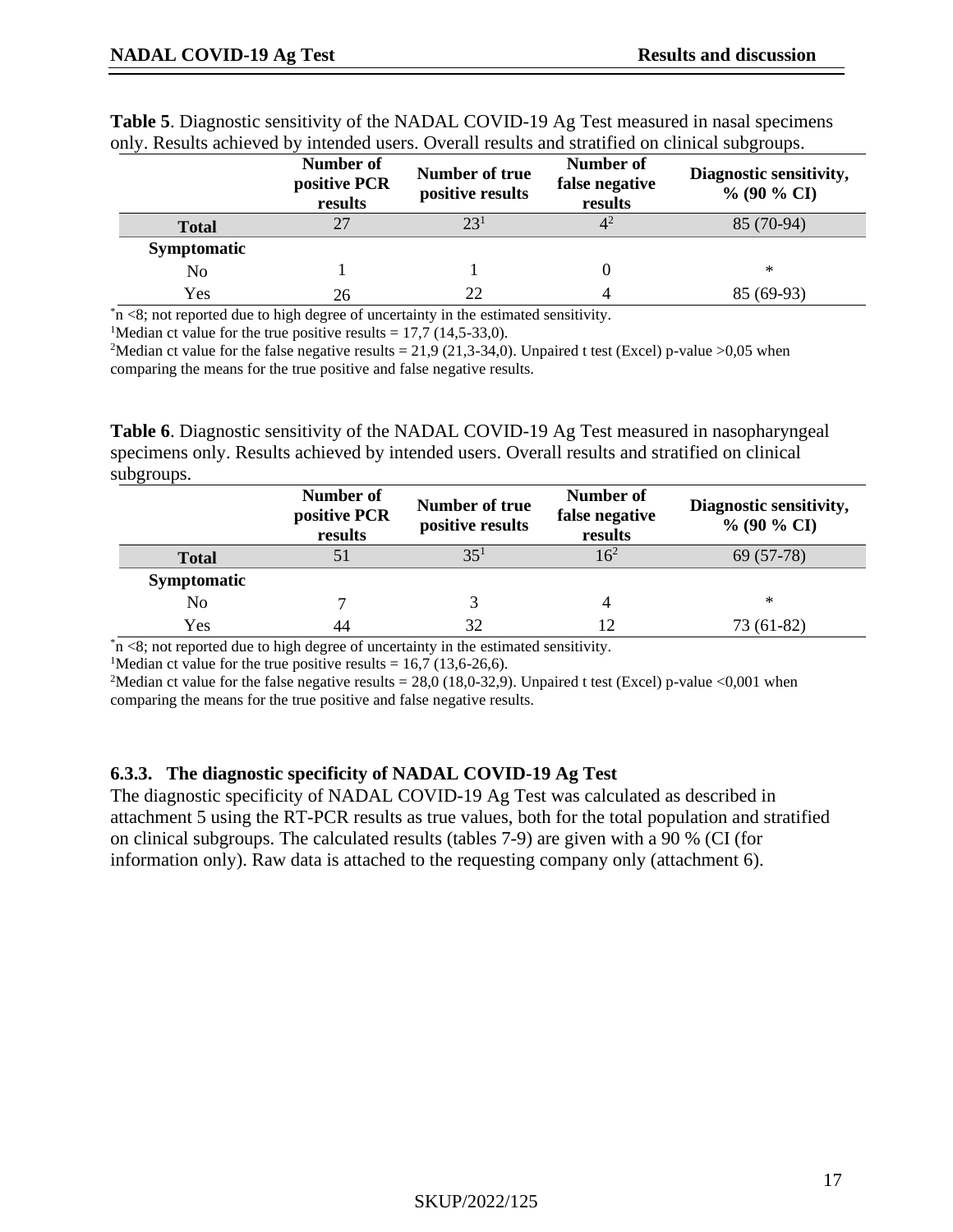|                    | Number of<br>positive PCR<br>results | Number of true<br>positive results | Number of<br>false negative<br>results | Diagnostic sensitivity,<br>$\%$ (90 $\%$ CI) |
|--------------------|--------------------------------------|------------------------------------|----------------------------------------|----------------------------------------------|
| <b>Total</b>       | 27                                   | 23 <sup>1</sup>                    |                                        | 85 (70-94)                                   |
| <b>Symptomatic</b> |                                      |                                    |                                        |                                              |
| No                 |                                      |                                    |                                        | ∗                                            |
| Yes                | 26                                   | 22                                 |                                        | 85 (69-93)                                   |

**Table 5**. Diagnostic sensitivity of the NADAL COVID-19 Ag Test measured in nasal specimens only. Results achieved by intended users. Overall results and stratified on clinical subgroups.

 $*n < 8$ ; not reported due to high degree of uncertainty in the estimated sensitivity.

<sup>1</sup>Median ct value for the true positive results =  $17,7$  (14,5-33,0).

<sup>2</sup>Median ct value for the false negative results = 21,9 (21,3-34,0). Unpaired t test (Excel) p-value >0,05 when comparing the means for the true positive and false negative results.

**Table 6**. Diagnostic sensitivity of the NADAL COVID-19 Ag Test measured in nasopharyngeal specimens only. Results achieved by intended users. Overall results and stratified on clinical subgroups.

|                    | Number of<br>positive PCR<br>results | Number of true<br>positive results | Number of<br>false negative<br>results | Diagnostic sensitivity,<br>$\%$ (90 $\%$ CI) |
|--------------------|--------------------------------------|------------------------------------|----------------------------------------|----------------------------------------------|
| <b>Total</b>       | 51                                   | 35 <sup>1</sup>                    |                                        | 69 (57-78)                                   |
| <b>Symptomatic</b> |                                      |                                    |                                        |                                              |
| No                 |                                      |                                    |                                        | ∗                                            |
| Yes                | 44                                   | 32                                 |                                        | 73 (61-82)                                   |

 $*n$  <8; not reported due to high degree of uncertainty in the estimated sensitivity.

<sup>1</sup>Median ct value for the true positive results =  $16,7$  (13,6-26,6).

<sup>2</sup>Median ct value for the false negative results = 28,0 (18,0-32,9). Unpaired t test (Excel) p-value <0,001 when comparing the means for the true positive and false negative results.

#### **6.3.3. The diagnostic specificity of NADAL COVID-19 Ag Test**

The diagnostic specificity of NADAL COVID-19 Ag Test was calculated as described in attachment 5 using the RT-PCR results as true values, both for the total population and stratified on clinical subgroups. The calculated results (tables 7-9) are given with a 90 % (CI (for information only). Raw data is attached to the requesting company only (attachment 6).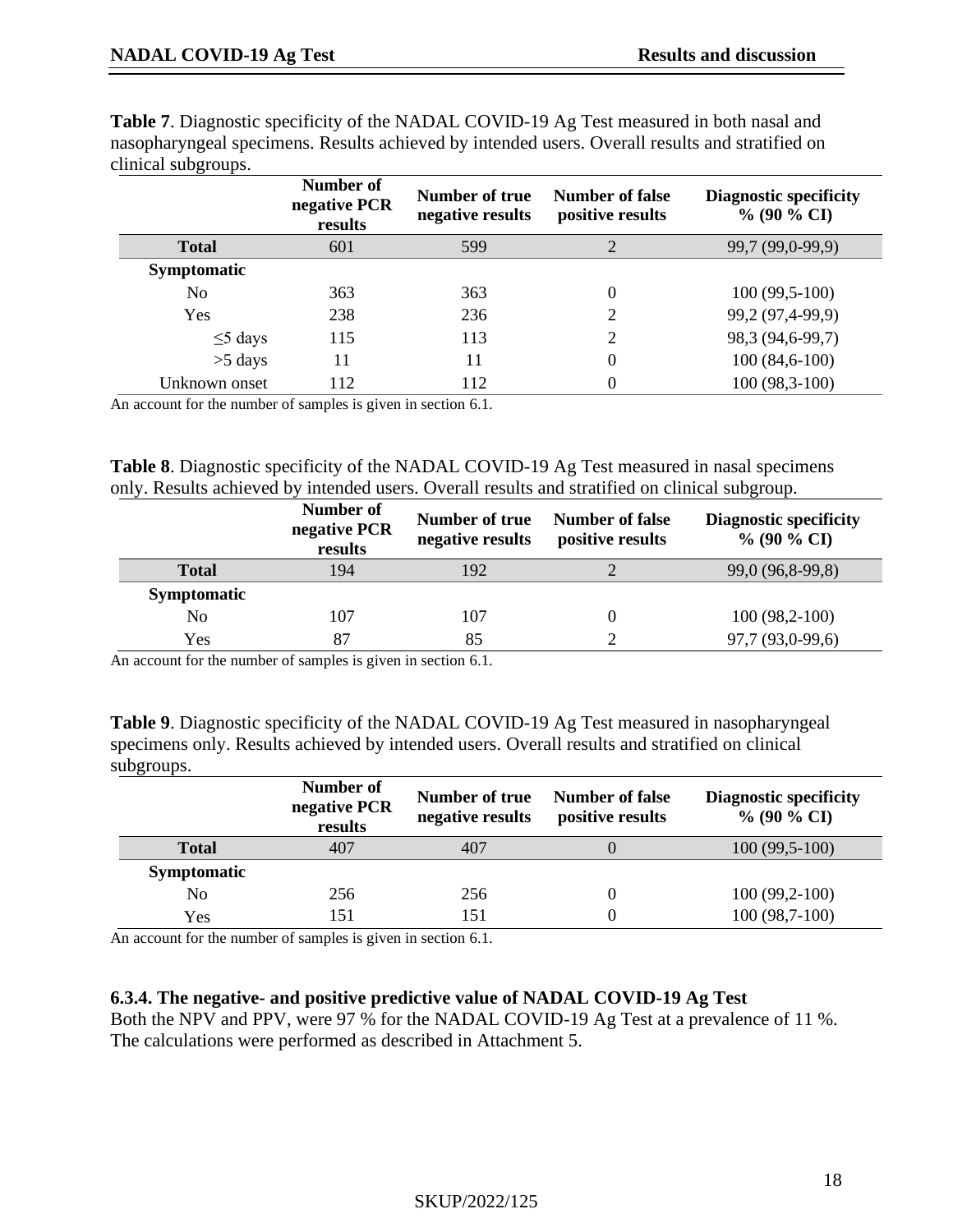|                    | Number of<br>negative PCR<br>results | Number of true<br>negative results | <b>Number of false</b><br>positive results | <b>Diagnostic specificity</b><br>$\%$ (90 $\%$ CI) |
|--------------------|--------------------------------------|------------------------------------|--------------------------------------------|----------------------------------------------------|
| <b>Total</b>       | 601                                  | 599                                | 2                                          | 99,7 (99,0-99,9)                                   |
| <b>Symptomatic</b> |                                      |                                    |                                            |                                                    |
| No                 | 363                                  | 363                                | $\theta$                                   | $100(99,5-100)$                                    |
| Yes                | 238                                  | 236                                | 2                                          | 99,2 (97,4-99,9)                                   |
| $\leq$ 5 days      | 115                                  | 113                                | 2                                          | 98,3 (94,6-99,7)                                   |
| $>5$ days          | 11                                   | 11                                 | $\theta$                                   | $100(84,6-100)$                                    |
| Unknown onset      | 112                                  | 112                                | 0                                          | 100 (98,3-100)                                     |

**Table 7**. Diagnostic specificity of the NADAL COVID-19 Ag Test measured in both nasal and nasopharyngeal specimens. Results achieved by intended users. Overall results and stratified on

An account for the number of samples is given in section [6.1.](#page-13-1)

**Table 8**. Diagnostic specificity of the NADAL COVID-19 Ag Test measured in nasal specimens only. Results achieved by intended users. Overall results and stratified on clinical subgroup.

|                    | Number of<br>negative PCR<br>results | Number of true<br>negative results | <b>Number of false</b><br>positive results | <b>Diagnostic specificity</b><br>$\%$ (90 $\%$ CI) |
|--------------------|--------------------------------------|------------------------------------|--------------------------------------------|----------------------------------------------------|
| <b>Total</b>       | 194                                  | 192                                |                                            | 99,0 (96,8-99,8)                                   |
| <b>Symptomatic</b> |                                      |                                    |                                            |                                                    |
| No                 | 107                                  | 107                                | $\theta$                                   | $100(98,2-100)$                                    |
| Yes                | 87                                   | 85                                 |                                            | 97,7 (93,0-99,6)                                   |

An account for the number of samples is given in section [6.1.](#page-13-1)

**Table 9**. Diagnostic specificity of the NADAL COVID-19 Ag Test measured in nasopharyngeal specimens only. Results achieved by intended users. Overall results and stratified on clinical subgroups.

|                    | Number of<br>negative PCR<br>results | Number of true<br>negative results | Number of false<br>positive results | <b>Diagnostic specificity</b><br>$\%$ (90 $\%$ CI) |
|--------------------|--------------------------------------|------------------------------------|-------------------------------------|----------------------------------------------------|
| <b>Total</b>       | 407                                  | 407                                |                                     | $100(99,5-100)$                                    |
| <b>Symptomatic</b> |                                      |                                    |                                     |                                                    |
| No                 | 256                                  | 256                                | O                                   | $100(99,2-100)$                                    |
| Yes                | 151                                  | 151                                | $\left( \right)$                    | $100(98,7-100)$                                    |

An account for the number of samples is given in section [6.1.](#page-13-1)

#### **6.3.4. The negative- and positive predictive value of NADAL COVID-19 Ag Test**

Both the NPV and PPV, were 97 % for the NADAL COVID-19 Ag Test at a prevalence of 11 %. The calculations were performed as described in Attachment 5.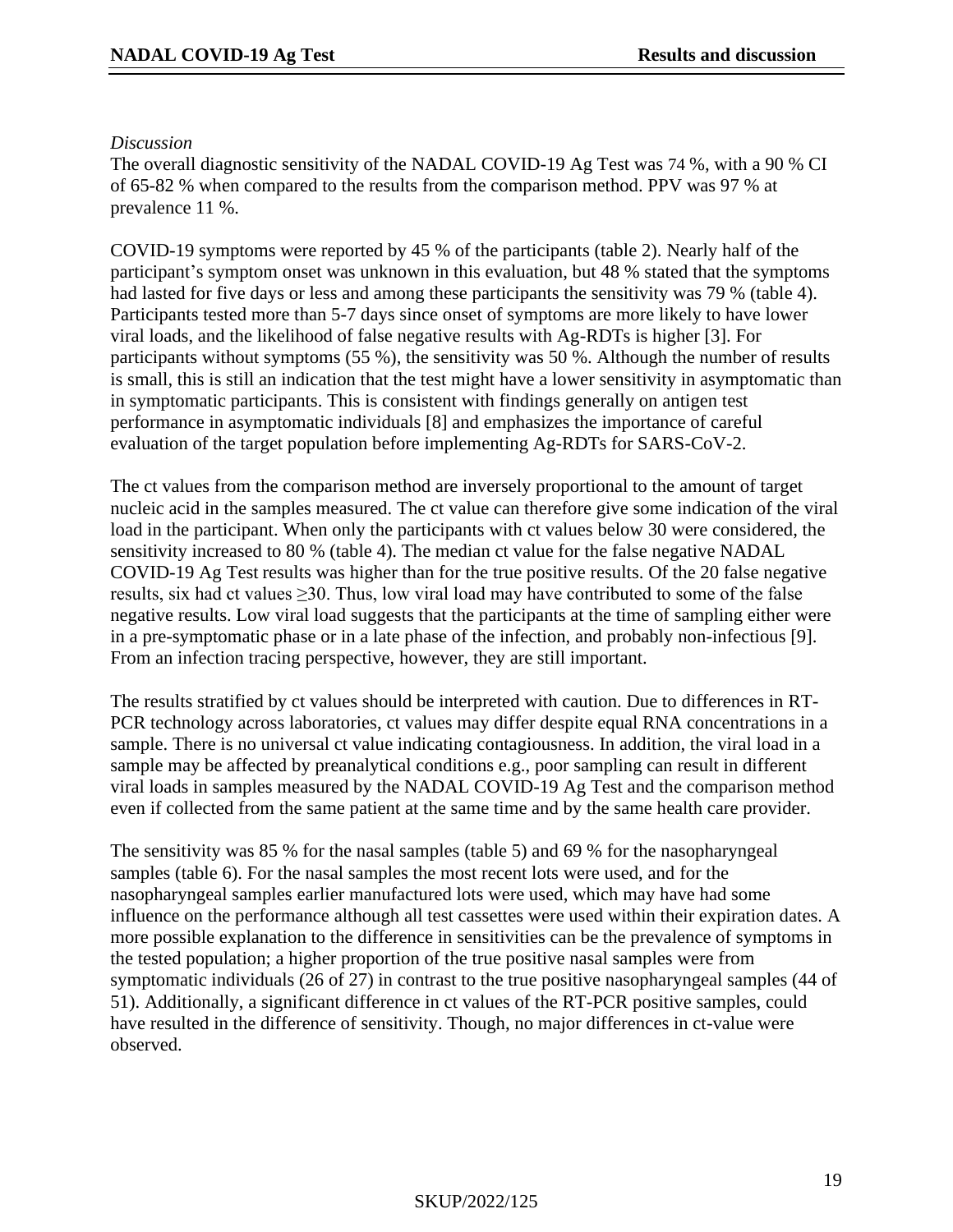#### *Discussion*

The overall diagnostic sensitivity of the NADAL COVID-19 Ag Test was 74 %, with a 90 % CI of 65-82 % when compared to the results from the comparison method. PPV was 97 % at prevalence 11 %.

COVID-19 symptoms were reported by 45 % of the participants (table 2). Nearly half of the participant's symptom onset was unknown in this evaluation, but 48 % stated that the symptoms had lasted for five days or less and among these participants the sensitivity was 79 % (table 4). Participants tested more than 5-7 days since onset of symptoms are more likely to have lower viral loads, and the likelihood of false negative results with Ag-RDTs is higher [\[3\]](#page-25-2). For participants without symptoms (55 %), the sensitivity was 50 %. Although the number of results is small, this is still an indication that the test might have a lower sensitivity in asymptomatic than in symptomatic participants. This is consistent with findings generally on antigen test performance in asymptomatic individuals [\[8\]](#page-25-7) and emphasizes the importance of careful evaluation of the target population before implementing Ag-RDTs for SARS-CoV-2.

The ct values from the comparison method are inversely proportional to the amount of target nucleic acid in the samples measured. The ct value can therefore give some indication of the viral load in the participant. When only the participants with ct values below 30 were considered, the sensitivity increased to 80 % (table 4). The median ct value for the false negative NADAL COVID-19 Ag Test results was higher than for the true positive results. Of the 20 false negative results, six had ct values  $\geq$ 30. Thus, low viral load may have contributed to some of the false negative results. Low viral load suggests that the participants at the time of sampling either were in a pre-symptomatic phase or in a late phase of the infection, and probably non-infectious [\[9\]](#page-25-8). From an infection tracing perspective, however, they are still important.

The results stratified by ct values should be interpreted with caution. Due to differences in RT-PCR technology across laboratories, ct values may differ despite equal RNA concentrations in a sample. There is no universal ct value indicating contagiousness. In addition, the viral load in a sample may be affected by preanalytical conditions e.g., poor sampling can result in different viral loads in samples measured by the NADAL COVID-19 Ag Test and the comparison method even if collected from the same patient at the same time and by the same health care provider.

The sensitivity was 85 % for the nasal samples (table 5) and 69 % for the nasopharyngeal samples (table 6). For the nasal samples the most recent lots were used, and for the nasopharyngeal samples earlier manufactured lots were used, which may have had some influence on the performance although all test cassettes were used within their expiration dates. A more possible explanation to the difference in sensitivities can be the prevalence of symptoms in the tested population; a higher proportion of the true positive nasal samples were from symptomatic individuals (26 of 27) in contrast to the true positive nasopharyngeal samples (44 of 51). Additionally, a significant difference in ct values of the RT-PCR positive samples, could have resulted in the difference of sensitivity. Though, no major differences in ct-value were observed.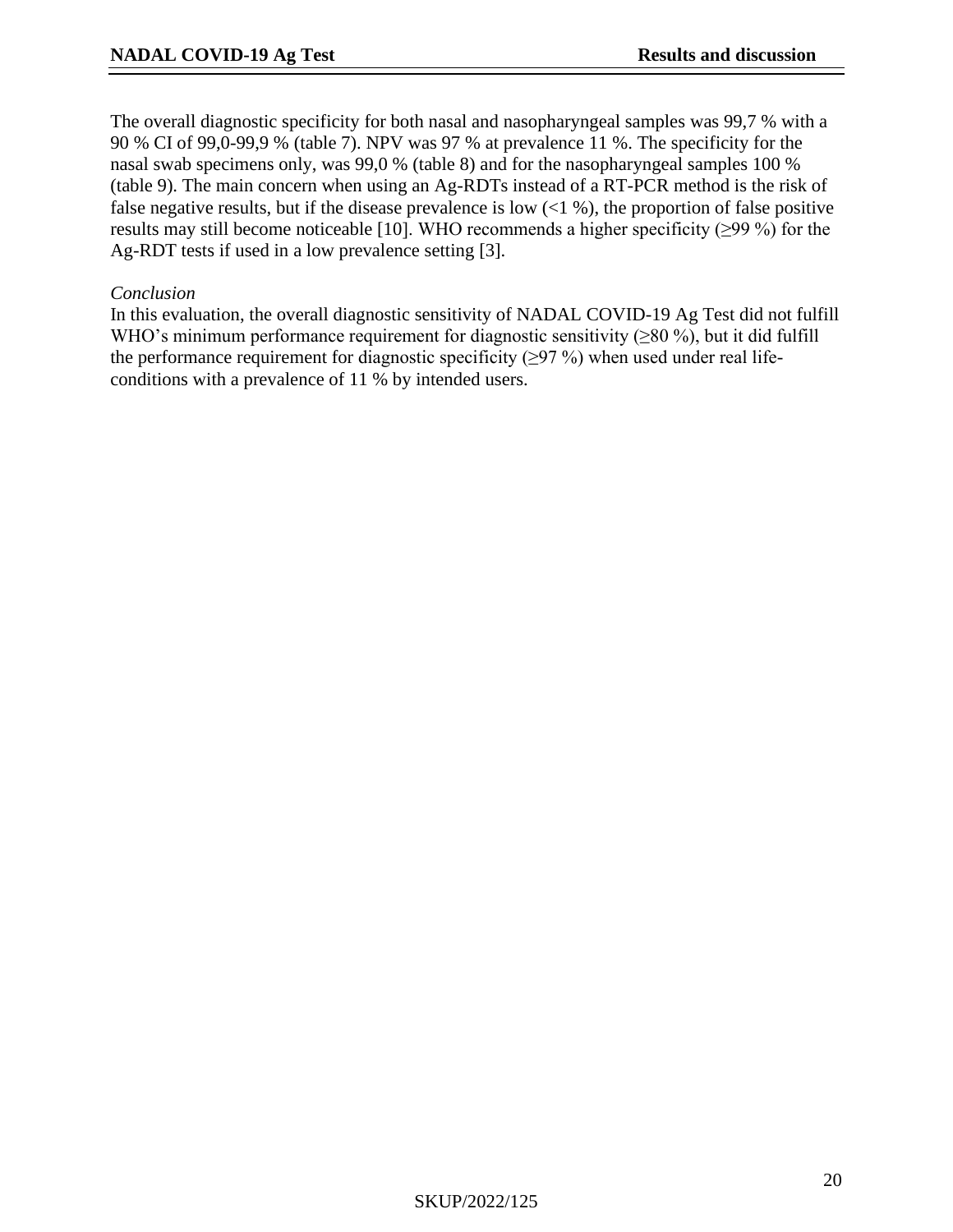The overall diagnostic specificity for both nasal and nasopharyngeal samples was 99,7 % with a 90 % CI of 99,0-99,9 % (table 7). NPV was 97 % at prevalence 11 %. The specificity for the nasal swab specimens only, was 99,0 % (table 8) and for the nasopharyngeal samples 100 % (table 9). The main concern when using an Ag-RDTs instead of a RT-PCR method is the risk of false negative results, but if the disease prevalence is low  $(1\%)$ , the proportion of false positive results may still become noticeable [\[10\]](#page-25-9). WHO recommends a higher specificity (≥99 %) for the Ag-RDT tests if used in a low prevalence setting [\[3\]](#page-25-2).

#### *Conclusion*

In this evaluation, the overall diagnostic sensitivity of NADAL COVID-19 Ag Test did not fulfill WHO's minimum performance requirement for diagnostic sensitivity ( $\geq$ 80 %), but it did fulfill the performance requirement for diagnostic specificity ( $\geq$ 97 %) when used under real lifeconditions with a prevalence of 11 % by intended users.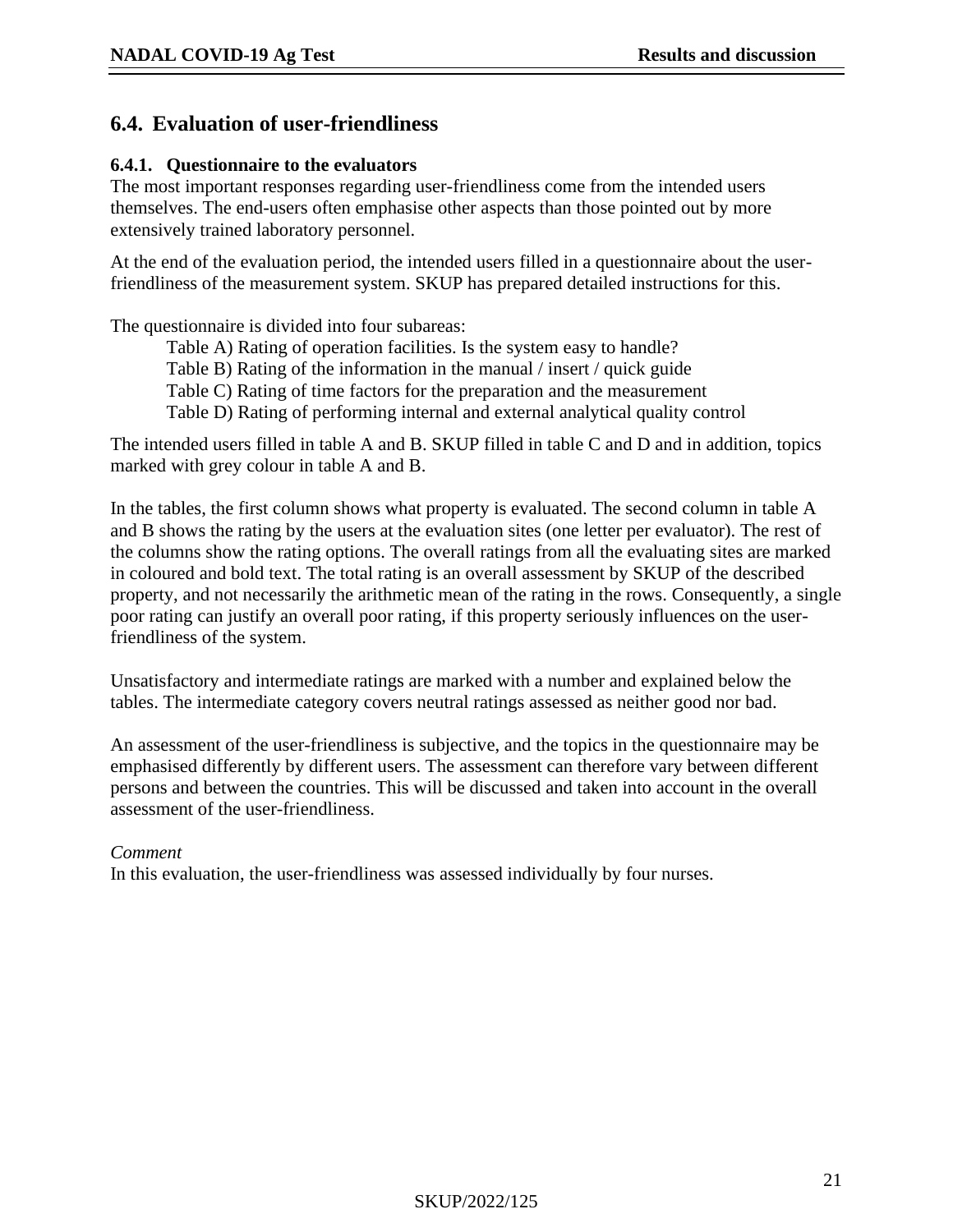## **6.4. Evaluation of user-friendliness**

#### **6.4.1. Questionnaire to the evaluators**

The most important responses regarding user-friendliness come from the intended users themselves. The end-users often emphasise other aspects than those pointed out by more extensively trained laboratory personnel.

At the end of the evaluation period, the intended users filled in a questionnaire about the userfriendliness of the measurement system. SKUP has prepared detailed instructions for this.

The questionnaire is divided into four subareas:

- Table A) Rating of operation facilities. Is the system easy to handle?
- Table B) Rating of the information in the manual / insert / quick guide
- Table C) Rating of time factors for the preparation and the measurement
- Table D) Rating of performing internal and external analytical quality control

The intended users filled in table A and B. SKUP filled in table C and D and in addition, topics marked with grey colour in table A and B.

In the tables, the first column shows what property is evaluated. The second column in table A and B shows the rating by the users at the evaluation sites (one letter per evaluator). The rest of the columns show the rating options. The overall ratings from all the evaluating sites are marked in coloured and bold text. The total rating is an overall assessment by SKUP of the described property, and not necessarily the arithmetic mean of the rating in the rows. Consequently, a single poor rating can justify an overall poor rating, if this property seriously influences on the userfriendliness of the system.

Unsatisfactory and intermediate ratings are marked with a number and explained below the tables. The intermediate category covers neutral ratings assessed as neither good nor bad.

An assessment of the user-friendliness is subjective, and the topics in the questionnaire may be emphasised differently by different users. The assessment can therefore vary between different persons and between the countries. This will be discussed and taken into account in the overall assessment of the user-friendliness.

#### *Comment*

In this evaluation, the user-friendliness was assessed individually by four nurses.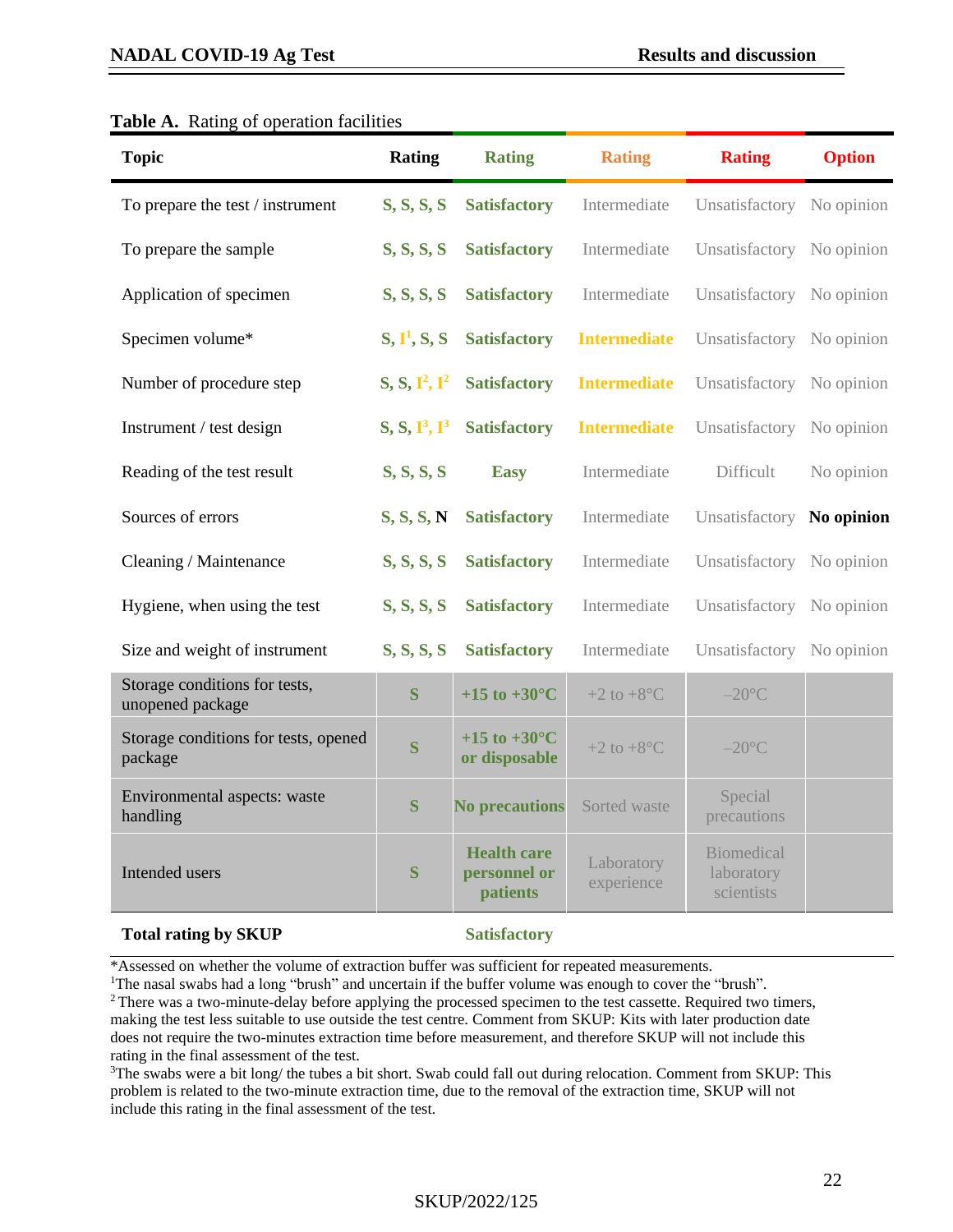#### **NADAL COVID-19 Ag Test [Results and discussion](#page-13-0)**

## **Topic Rating Rating Rating Rating Option** To prepare the test / instrument **S, S, S, S Satisfactory** Intermediate Unsatisfactory No opinion To prepare the sample **S, S, S, S Satisfactory** Intermediate Unsatisfactory No opinion Application of specimen **S, S, S, S Satisfactory** Intermediate Unsatisfactory No opinion Specimen volume\*  $S, I^1, S, S$ **Satisfactory Intermediate** Unsatisfactory No opinion Number of procedure step **2**, **2**, **1**<sup>2</sup> **Satisfactory Intermediate** Unsatisfactory No opinion Instrument / test design  $S, S, I^3, I^3$ **Satisfactory Intermediate** Unsatisfactory No opinion **Reading of the test result <b>S, S, S, S Easy** Intermediate Difficult No opinion Sources of errors **S, S, S, N Satisfactory** Intermediate Unsatisfactory **No opinion Cleaning / Maintenance <b>S, S, S, S Satisfactory** Intermediate Unsatisfactory No opinion Hygiene, when using the test **S, S, S, S Satisfactory** Intermediate Unsatisfactory No opinion Size and weight of instrument **S, S, S, S atisfactory** Intermediate Unsatisfactory No opinion Storage conditions for tests,

**Storage conditions for tests,**<br> **S**  $+15$  to  $+30^{\circ}$ C  $+2$  to  $+8^{\circ}$ C  $-20^{\circ}$ C

**Environmental aspects: waste S S No precautions** Sorted waste Special precautions

#### **Table A.** Rating of operation facilities

#### **Total rating by SKUP Satisfactory**

Storage conditions for tests, opened **S**<br>package

Intended users **S** 

**Health care personnel or patients**

**+15 to +30°C**

**or disposable**  $+2$  to  $+8^{\circ}$ C  $-20^{\circ}$ C

Laboratory experience precautions

Biomedical laboratory scientists

\*Assessed on whether the volume of extraction buffer was sufficient for repeated measurements.

<sup>1</sup>The nasal swabs had a long "brush" and uncertain if the buffer volume was enough to cover the "brush".

<sup>2</sup> There was a two-minute-delay before applying the processed specimen to the test cassette. Required two timers, making the test less suitable to use outside the test centre. Comment from SKUP: Kits with later production date does not require the two-minutes extraction time before measurement, and therefore SKUP will not include this rating in the final assessment of the test.

 $3$ The swabs were a bit long/ the tubes a bit short. Swab could fall out during relocation. Comment from SKUP: This problem is related to the two-minute extraction time, due to the removal of the extraction time, SKUP will not include this rating in the final assessment of the test.

#### SKUP/2022/125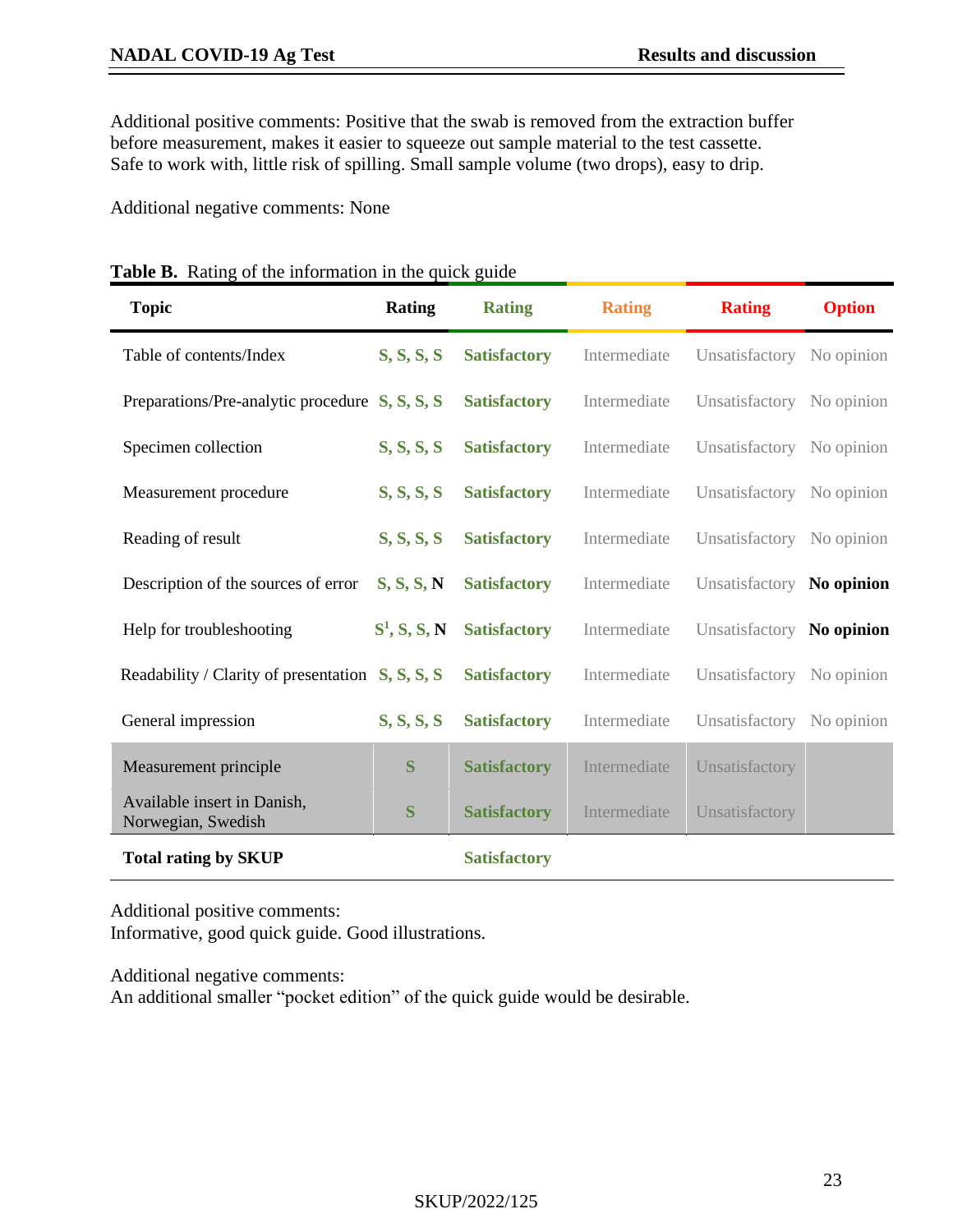Additional positive comments: Positive that the swab is removed from the extraction buffer before measurement, makes it easier to squeeze out sample material to the test cassette. Safe to work with, little risk of spilling. Small sample volume (two drops), easy to drip.

Additional negative comments: None

| <b>Topic</b>                                       | <b>Rating</b>   | <b>Rating</b>       | <b>Rating</b> | <b>Rating</b>             | <b>Option</b> |
|----------------------------------------------------|-----------------|---------------------|---------------|---------------------------|---------------|
| Table of contents/Index                            | S, S, S, S      | <b>Satisfactory</b> | Intermediate  | Unsatisfactory No opinion |               |
| Preparations/Pre-analytic procedure $S, S, S, S$   |                 | <b>Satisfactory</b> | Intermediate  | Unsatisfactory No opinion |               |
| Specimen collection                                | S, S, S, S      | <b>Satisfactory</b> | Intermediate  | Unsatisfactory No opinion |               |
| Measurement procedure                              | S, S, S, S      | <b>Satisfactory</b> | Intermediate  | Unsatisfactory            | No opinion    |
| Reading of result                                  | S, S, S, S      | <b>Satisfactory</b> | Intermediate  | Unsatisfactory            | No opinion    |
| Description of the sources of error                | S, S, S, N      | <b>Satisfactory</b> | Intermediate  | Unsatisfactory No opinion |               |
| Help for troubleshooting                           | $S^1$ , S, S, N | <b>Satisfactory</b> | Intermediate  | Unsatisfactory            | No opinion    |
| Readability / Clarity of presentation $S, S, S, S$ |                 | <b>Satisfactory</b> | Intermediate  | Unsatisfactory            | No opinion    |
| General impression                                 | S, S, S, S      | <b>Satisfactory</b> | Intermediate  | Unsatisfactory            | No opinion    |
| Measurement principle                              | S               | <b>Satisfactory</b> | Intermediate  | Unsatisfactory            |               |
| Available insert in Danish,<br>Norwegian, Swedish  | S               | <b>Satisfactory</b> | Intermediate  | Unsatisfactory            |               |
| <b>Total rating by SKUP</b>                        |                 | <b>Satisfactory</b> |               |                           |               |

| Table B. Rating of the information in the quick guide |  |  |  |  |  |  |  |
|-------------------------------------------------------|--|--|--|--|--|--|--|
|-------------------------------------------------------|--|--|--|--|--|--|--|

Additional positive comments:

Informative, good quick guide. Good illustrations.

Additional negative comments:

An additional smaller "pocket edition" of the quick guide would be desirable.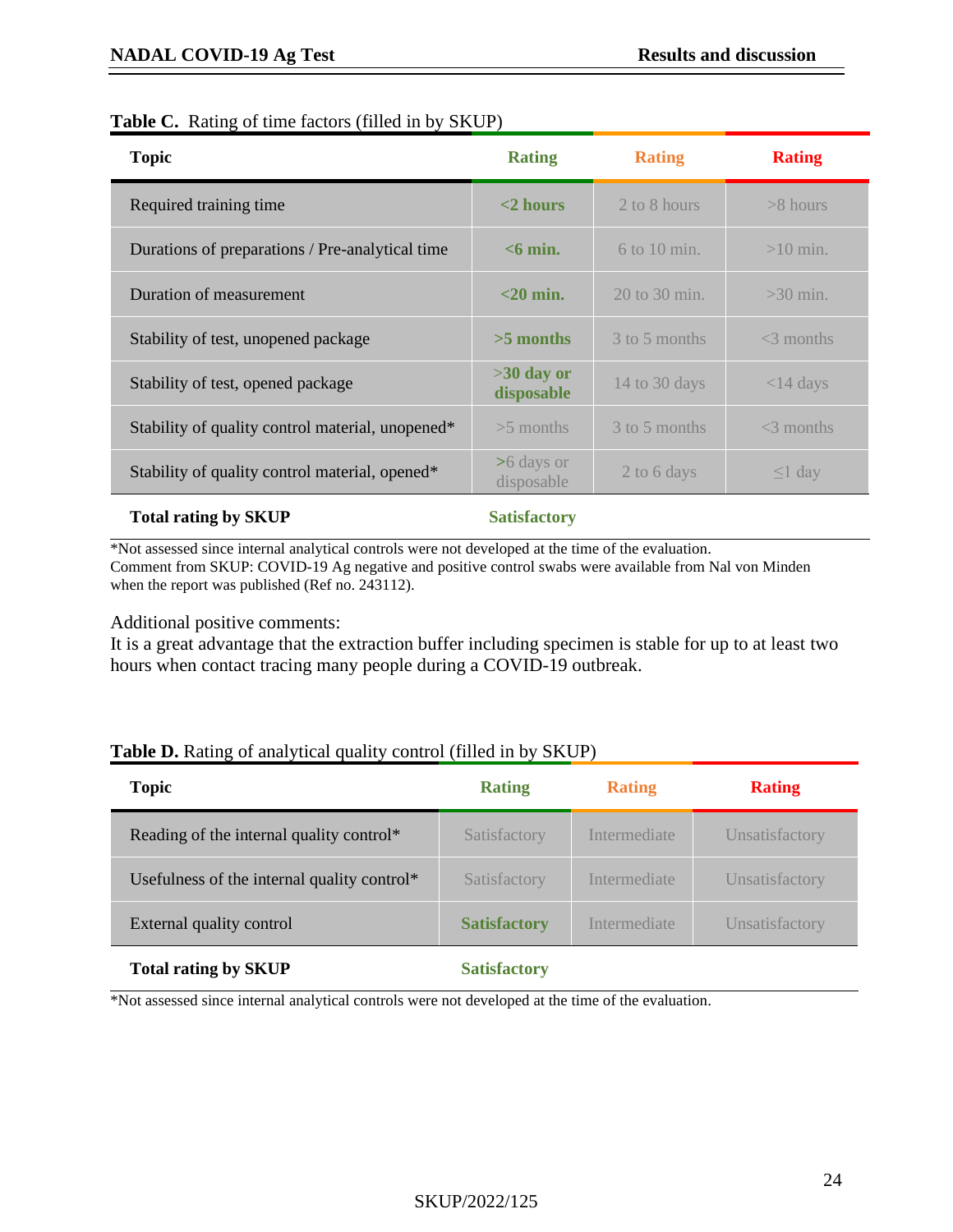#### **Table C.** Rating of time factors (filled in by SKUP)

| <b>Topic</b>                                     | <b>Rating</b>              | <b>Rating</b>     | <b>Rating</b> |
|--------------------------------------------------|----------------------------|-------------------|---------------|
| Required training time                           | $<$ 2 hours                | 2 to 8 hours      | $>8$ hours    |
| Durations of preparations / Pre-analytical time  | $<$ 6 min.                 | $6$ to 10 min.    | $>10$ min.    |
| Duration of measurement                          | $<$ 20 min.                | $20$ to $30$ min. | $>30$ min.    |
| Stability of test, unopened package              | $>5$ months                | 3 to 5 months     | $<$ 3 months  |
| Stability of test, opened package                | $>30$ day or<br>disposable | 14 to 30 days     | $<$ 14 days   |
| Stability of quality control material, unopened* | $>5$ months                | 3 to 5 months     | $<$ 3 months  |
| Stability of quality control material, opened*   | >6 days or<br>disposable   | 2 to 6 days       | $\leq$ l day  |
|                                                  |                            |                   |               |

#### **Total rating by SKUP Satisfactory**

\*Not assessed since internal analytical controls were not developed at the time of the evaluation. Comment from SKUP: COVID-19 Ag negative and positive control swabs were available from Nal von Minden when the report was published (Ref no. 243112).

Additional positive comments:

It is a great advantage that the extraction buffer including specimen is stable for up to at least two hours when contact tracing many people during a COVID-19 outbreak.

#### **Table D.** Rating of analytical quality control (filled in by SKUP)

| <b>Topic</b>                                | <b>Rating</b>       | <b>Rating</b> | <b>Rating</b>  |
|---------------------------------------------|---------------------|---------------|----------------|
| Reading of the internal quality control*    | Satisfactory        | Intermediate  | Unsatisfactory |
| Usefulness of the internal quality control* | Satisfactory        | Intermediate  | Unsatisfactory |
| External quality control                    | <b>Satisfactory</b> | Intermediate  | Unsatisfactory |
| <b>Total rating by SKUP</b>                 | <b>Satisfactory</b> |               |                |

\*Not assessed since internal analytical controls were not developed at the time of the evaluation.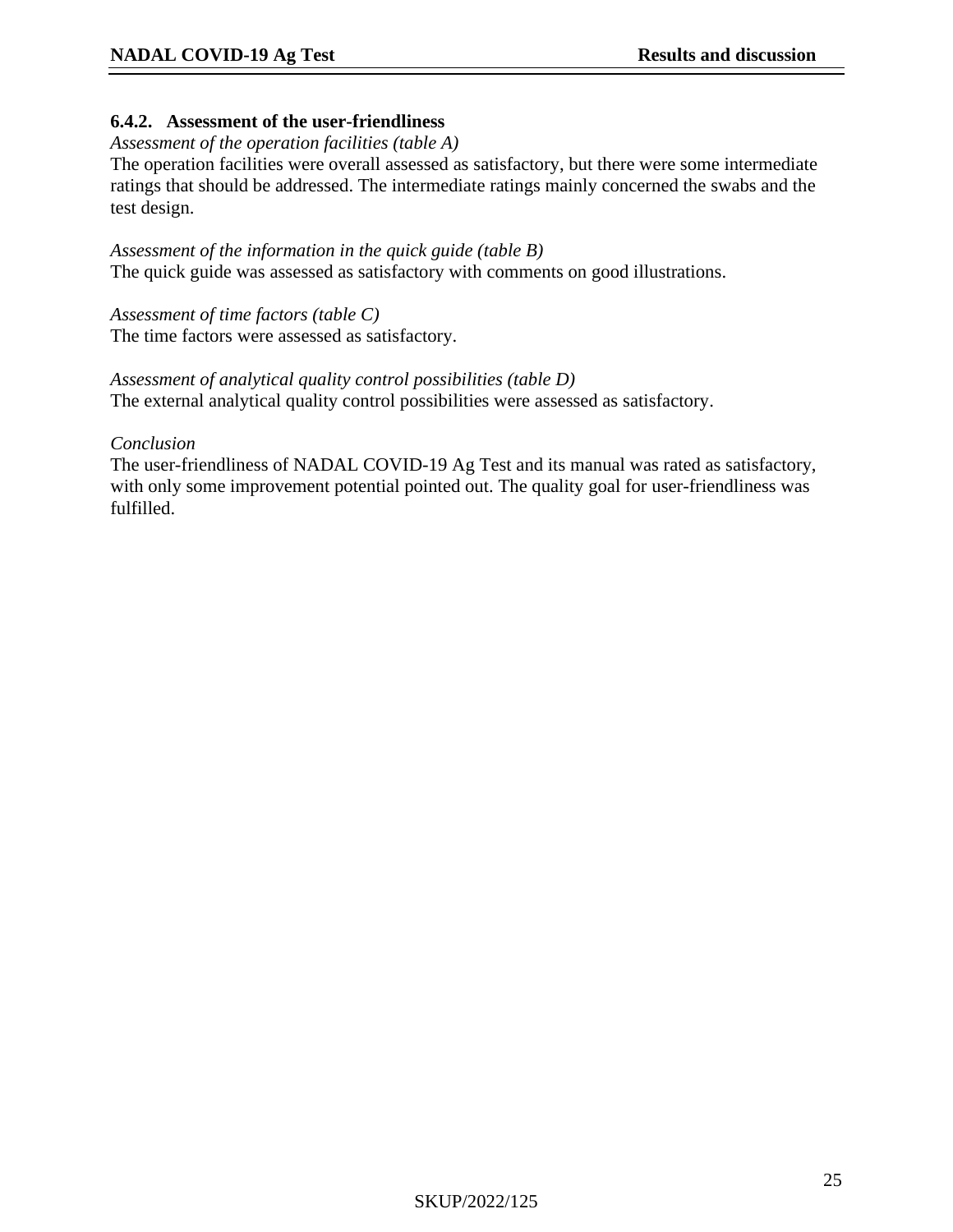#### **6.4.2. Assessment of the user-friendliness**

#### *Assessment of the operation facilities (table A)*

The operation facilities were overall assessed as satisfactory, but there were some intermediate ratings that should be addressed. The intermediate ratings mainly concerned the swabs and the test design.

*Assessment of the information in the quick guide (table B)* The quick guide was assessed as satisfactory with comments on good illustrations.

*Assessment of time factors (table C)* The time factors were assessed as satisfactory.

*Assessment of analytical quality control possibilities (table D)* The external analytical quality control possibilities were assessed as satisfactory.

#### *Conclusion*

The user-friendliness of NADAL COVID-19 Ag Test and its manual was rated as satisfactory, with only some improvement potential pointed out. The quality goal for user-friendliness was fulfilled.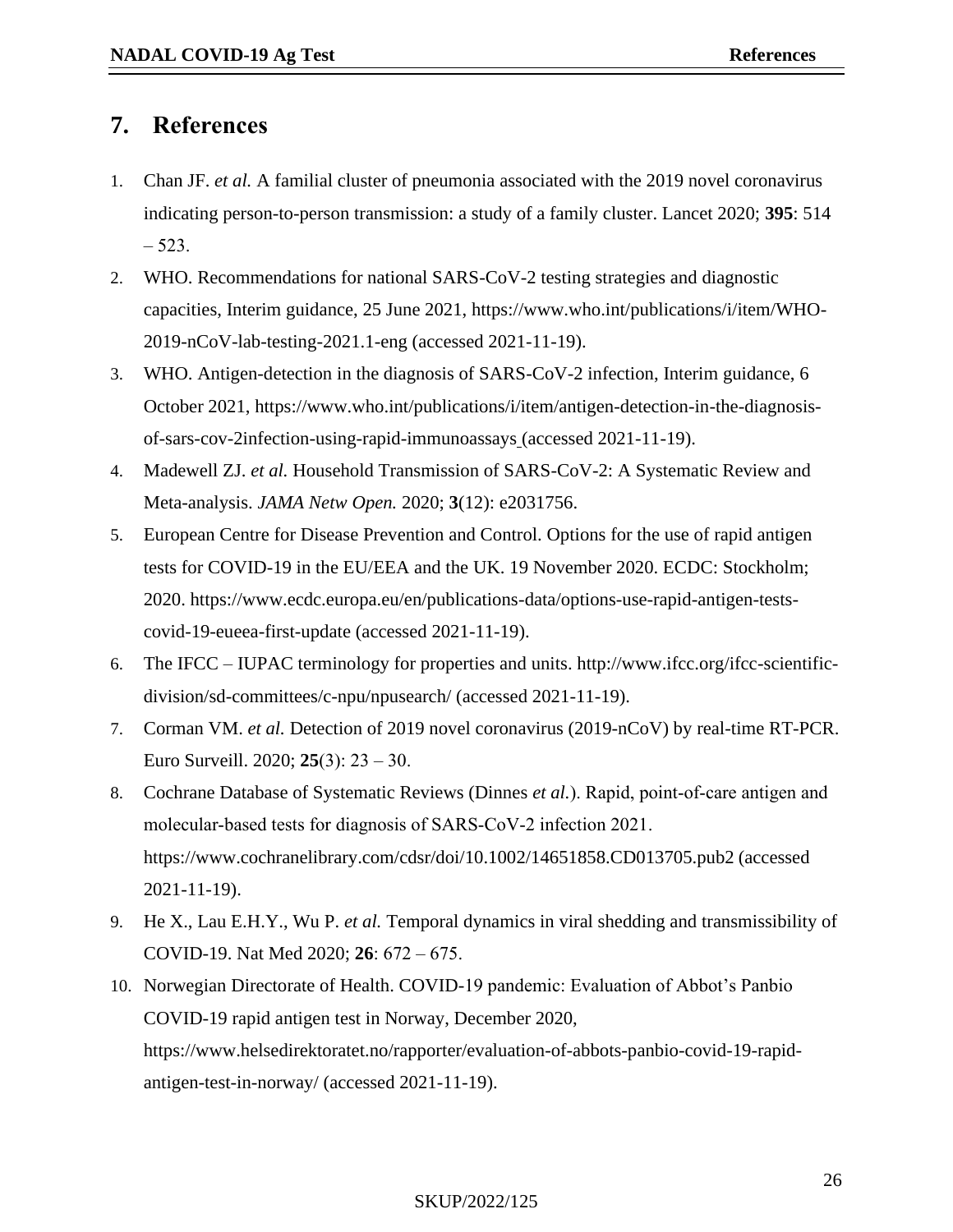## <span id="page-25-10"></span>**7. References**

- <span id="page-25-0"></span>1. Chan JF. *et al.* A familial cluster of pneumonia associated with the 2019 novel coronavirus indicating person-to-person transmission: a study of a family cluster. Lancet 2020; **395**: 514  $-523.$
- <span id="page-25-1"></span>2. WHO. Recommendations for national SARS-CoV-2 testing strategies and diagnostic capacities, Interim guidance, 25 June 2021, https://www.who.int/publications/i/item/WHO-2019-nCoV-lab-testing-2021.1-eng (accessed 2021-11-19).
- <span id="page-25-2"></span>3. WHO. Antigen-detection in the diagnosis of SARS-CoV-2 infection, Interim guidance, 6 October 2021, https://www.who.int/publications/i/item/antigen-detection-in-the-diagnosisof-sars-cov-2infection-using-rapid-immunoassays (accessed 2021-11-19).
- <span id="page-25-3"></span>4. Madewell ZJ. *et al.* Household Transmission of SARS-CoV-2: A Systematic Review and Meta-analysis. *JAMA Netw Open.* 2020; **3**(12): e2031756.
- <span id="page-25-4"></span>5. European Centre for Disease Prevention and Control. Options for the use of rapid antigen tests for COVID-19 in the EU/EEA and the UK. 19 November 2020. ECDC: Stockholm; 2020. https://www.ecdc.europa.eu/en/publications-data/options-use-rapid-antigen-testscovid-19-eueea-first-update (accessed 2021-11-19).
- <span id="page-25-5"></span>6. The IFCC – IUPAC terminology for properties and units. http://www.ifcc.org/ifcc-scientificdivision/sd-committees/c-npu/npusearch/ (accessed 2021-11-19).
- <span id="page-25-6"></span>7. Corman VM. *et al.* Detection of 2019 novel coronavirus (2019-nCoV) by real-time RT-PCR. Euro Surveill. 2020; **25**(3): 23 ‒ 30.
- <span id="page-25-7"></span>8. Cochrane Database of Systematic Reviews (Dinnes *et al.*). Rapid, point‐of‐care antigen and molecular‐based tests for diagnosis of SARS‐CoV‐2 infection 2021. https://www.cochranelibrary.com/cdsr/doi/10.1002/14651858.CD013705.pub2 (accessed 2021-11-19).
- <span id="page-25-8"></span>9. He X., Lau E.H.Y., Wu P. *et al.* Temporal dynamics in viral shedding and transmissibility of COVID-19. Nat Med 2020; **26**: 672 ‒ 675.
- <span id="page-25-9"></span>10. Norwegian Directorate of Health. COVID-19 pandemic: Evaluation of Abbot's Panbio COVID-19 rapid antigen test in Norway, December 2020, https://www.helsedirektoratet.no/rapporter/evaluation-of-abbots-panbio-covid-19-rapidantigen-test-in-norway/ (accessed 2021-11-19).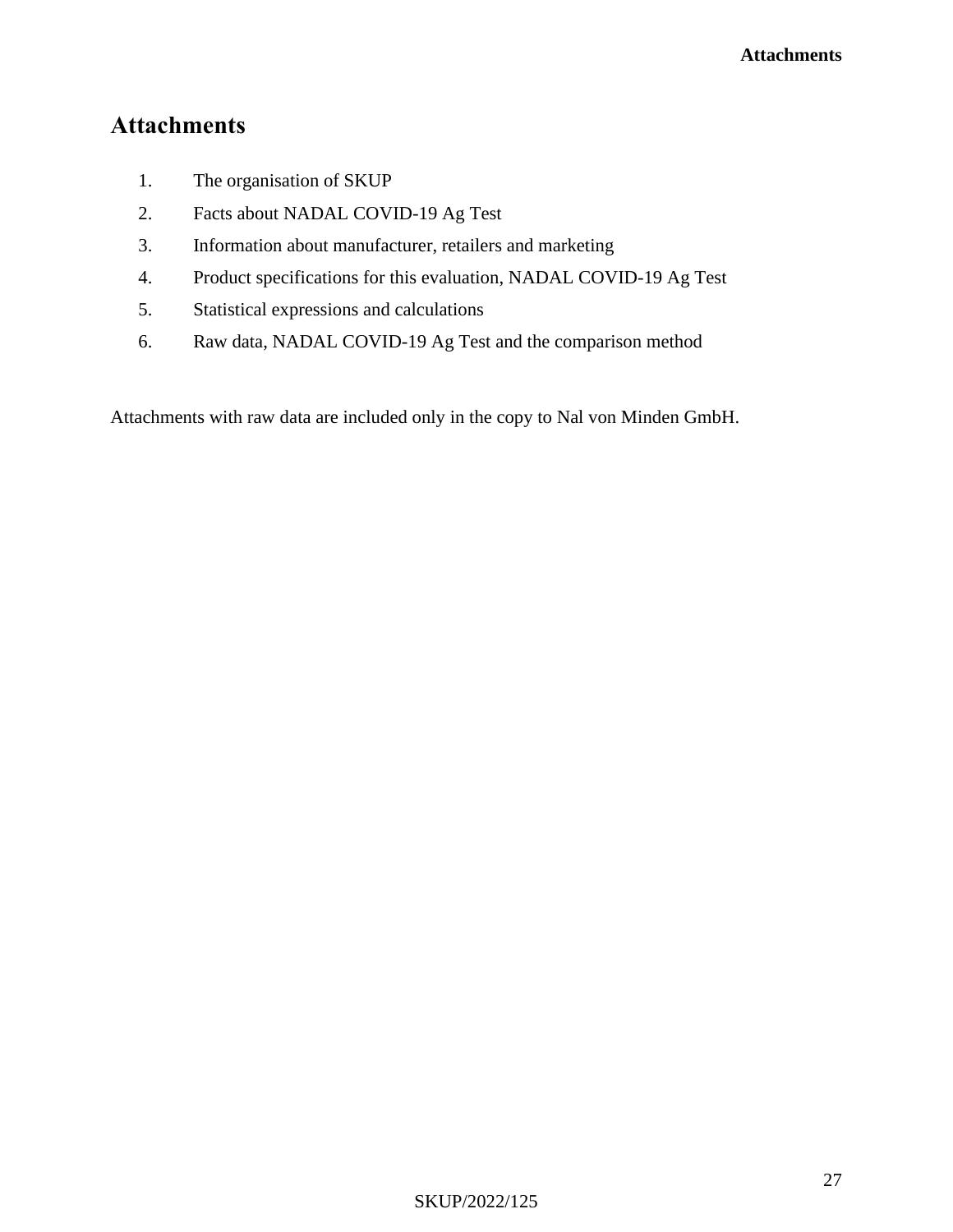## **Attachments**

- 1. The organisation of SKUP
- 2. Facts about NADAL COVID-19 Ag Test
- 3. Information about manufacturer, retailers and marketing
- 4. Product specifications for this evaluation, NADAL COVID-19 Ag Test
- 5. Statistical expressions and calculations
- 6. Raw data, NADAL COVID-19 Ag Test and the comparison method

Attachments with raw data are included only in the copy to Nal von Minden GmbH.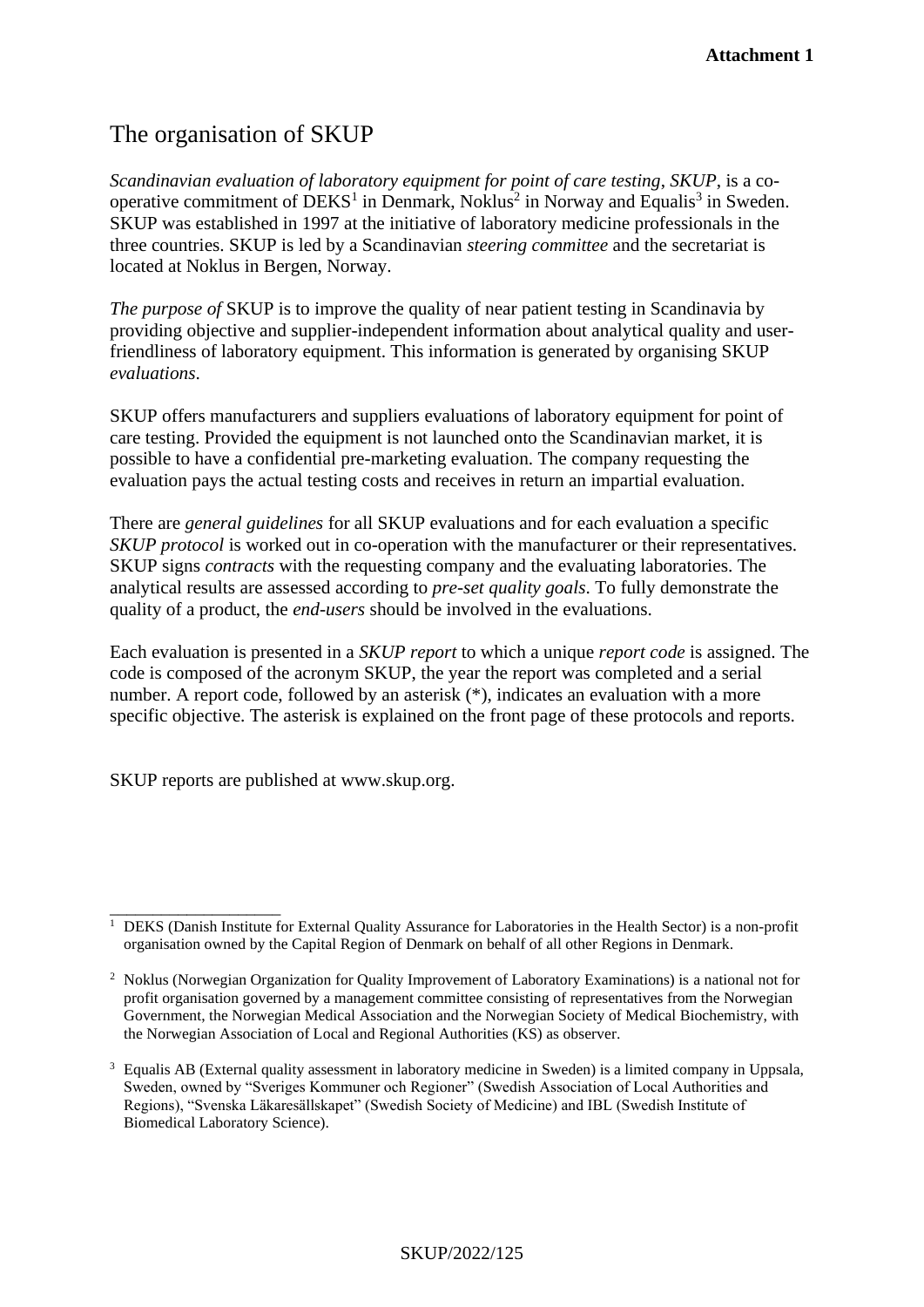## The organisation of SKUP

*Scandinavian evaluation of laboratory equipment for point of care testing*, *SKUP*, is a cooperative commitment of  $DEKS<sup>1</sup>$  in Denmark, Noklus<sup>2</sup> in Norway and Equalis<sup>3</sup> in Sweden. SKUP was established in 1997 at the initiative of laboratory medicine professionals in the three countries. SKUP is led by a Scandinavian *steering committee* and the secretariat is located at Noklus in Bergen, Norway.

*The purpose of* SKUP is to improve the quality of near patient testing in Scandinavia by providing objective and supplier-independent information about analytical quality and userfriendliness of laboratory equipment. This information is generated by organising SKUP *evaluations*.

SKUP offers manufacturers and suppliers evaluations of laboratory equipment for point of care testing. Provided the equipment is not launched onto the Scandinavian market, it is possible to have a confidential pre-marketing evaluation. The company requesting the evaluation pays the actual testing costs and receives in return an impartial evaluation.

There are *general guidelines* for all SKUP evaluations and for each evaluation a specific *SKUP protocol* is worked out in co-operation with the manufacturer or their representatives. SKUP signs *contracts* with the requesting company and the evaluating laboratories. The analytical results are assessed according to *pre-set quality goals*. To fully demonstrate the quality of a product, the *end-users* should be involved in the evaluations.

Each evaluation is presented in a *SKUP report* to which a unique *report code* is assigned. The code is composed of the acronym SKUP, the year the report was completed and a serial number. A report code, followed by an asterisk  $(*)$ , indicates an evaluation with a more specific objective. The asterisk is explained on the front page of these protocols and reports.

SKUP reports are published at www.skup.org.

\_\_\_\_\_\_\_\_\_\_\_\_\_\_\_\_\_\_\_\_

<sup>&</sup>lt;sup>1</sup> DEKS (Danish Institute for External Quality Assurance for Laboratories in the Health Sector) is a non-profit organisation owned by the Capital Region of Denmark on behalf of all other Regions in Denmark.

<sup>2</sup> Noklus (Norwegian Organization for Quality Improvement of Laboratory Examinations) is a national not for profit organisation governed by a management committee consisting of representatives from the Norwegian Government, the Norwegian Medical Association and the Norwegian Society of Medical Biochemistry, with the Norwegian Association of Local and Regional Authorities (KS) as observer.

<sup>&</sup>lt;sup>3</sup> Equalis AB (External quality assessment in laboratory medicine in Sweden) is a limited company in Uppsala, Sweden, owned by "Sveriges Kommuner och Regioner" (Swedish Association of Local Authorities and Regions), "Svenska Läkaresällskapet" (Swedish Society of Medicine) and IBL (Swedish Institute of Biomedical Laboratory Science).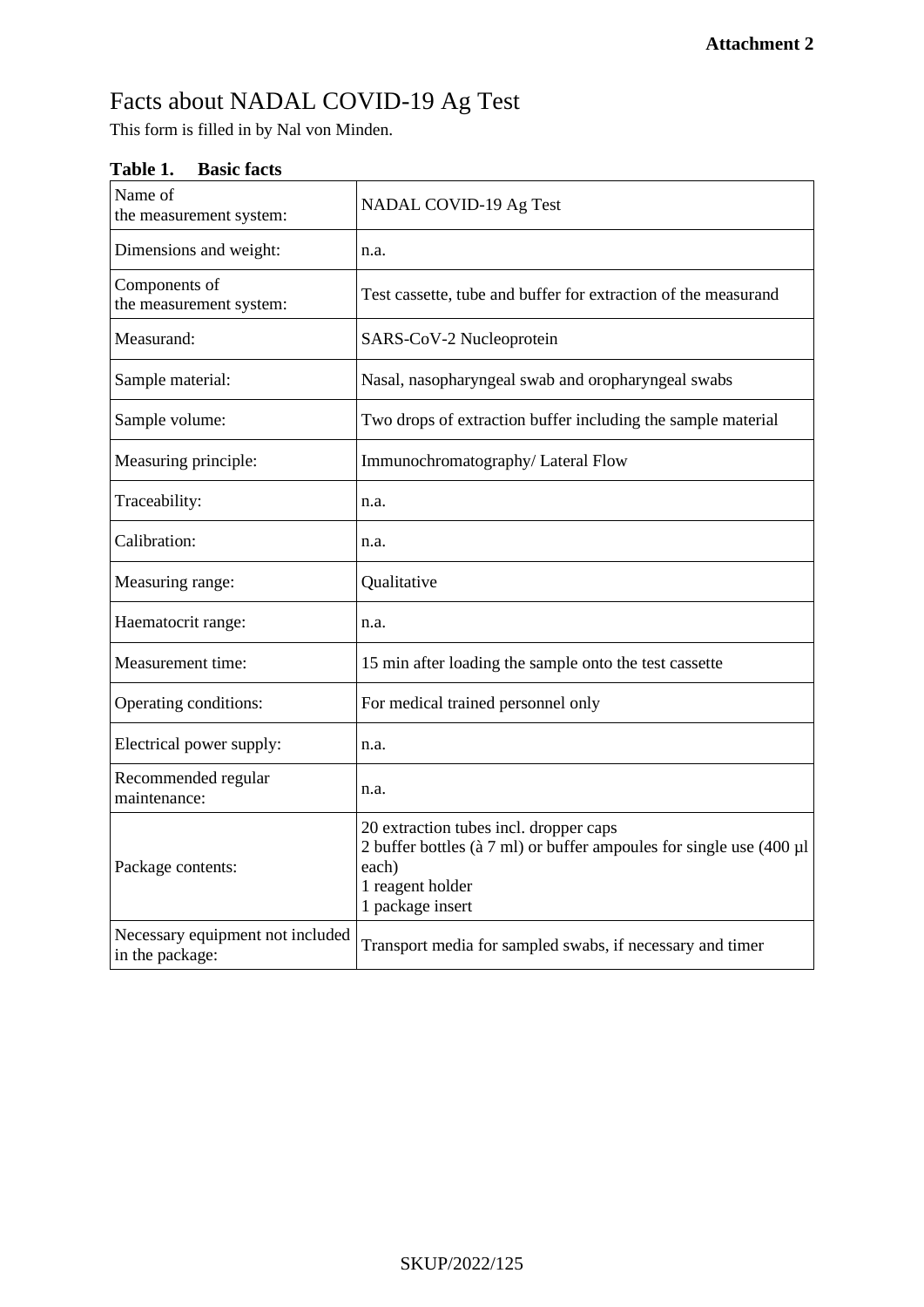# Facts about NADAL COVID-19 Ag Test

This form is filled in by Nal von Minden.

| Name of<br>the measurement system:                  | NADAL COVID-19 Ag Test                                                                                                                                                  |
|-----------------------------------------------------|-------------------------------------------------------------------------------------------------------------------------------------------------------------------------|
| Dimensions and weight:                              | n.a.                                                                                                                                                                    |
| Components of<br>the measurement system:            | Test cassette, tube and buffer for extraction of the measurand                                                                                                          |
| Measurand:                                          | SARS-CoV-2 Nucleoprotein                                                                                                                                                |
| Sample material:                                    | Nasal, nasopharyngeal swab and oropharyngeal swabs                                                                                                                      |
| Sample volume:                                      | Two drops of extraction buffer including the sample material                                                                                                            |
| Measuring principle:                                | Immunochromatography/ Lateral Flow                                                                                                                                      |
| Traceability:                                       | n.a.                                                                                                                                                                    |
| Calibration:                                        | n.a.                                                                                                                                                                    |
| Measuring range:                                    | Qualitative                                                                                                                                                             |
| Haematocrit range:                                  | n.a.                                                                                                                                                                    |
| Measurement time:                                   | 15 min after loading the sample onto the test cassette                                                                                                                  |
| Operating conditions:                               | For medical trained personnel only                                                                                                                                      |
| Electrical power supply:                            | n.a.                                                                                                                                                                    |
| Recommended regular<br>maintenance:                 | n.a.                                                                                                                                                                    |
| Package contents:                                   | 20 extraction tubes incl. dropper caps<br>2 buffer bottles ( $\hat{a}$ 7 ml) or buffer ampoules for single use (400 µl<br>each)<br>1 reagent holder<br>1 package insert |
| Necessary equipment not included<br>in the package: | Transport media for sampled swabs, if necessary and timer                                                                                                               |

### **Table 1. Basic facts**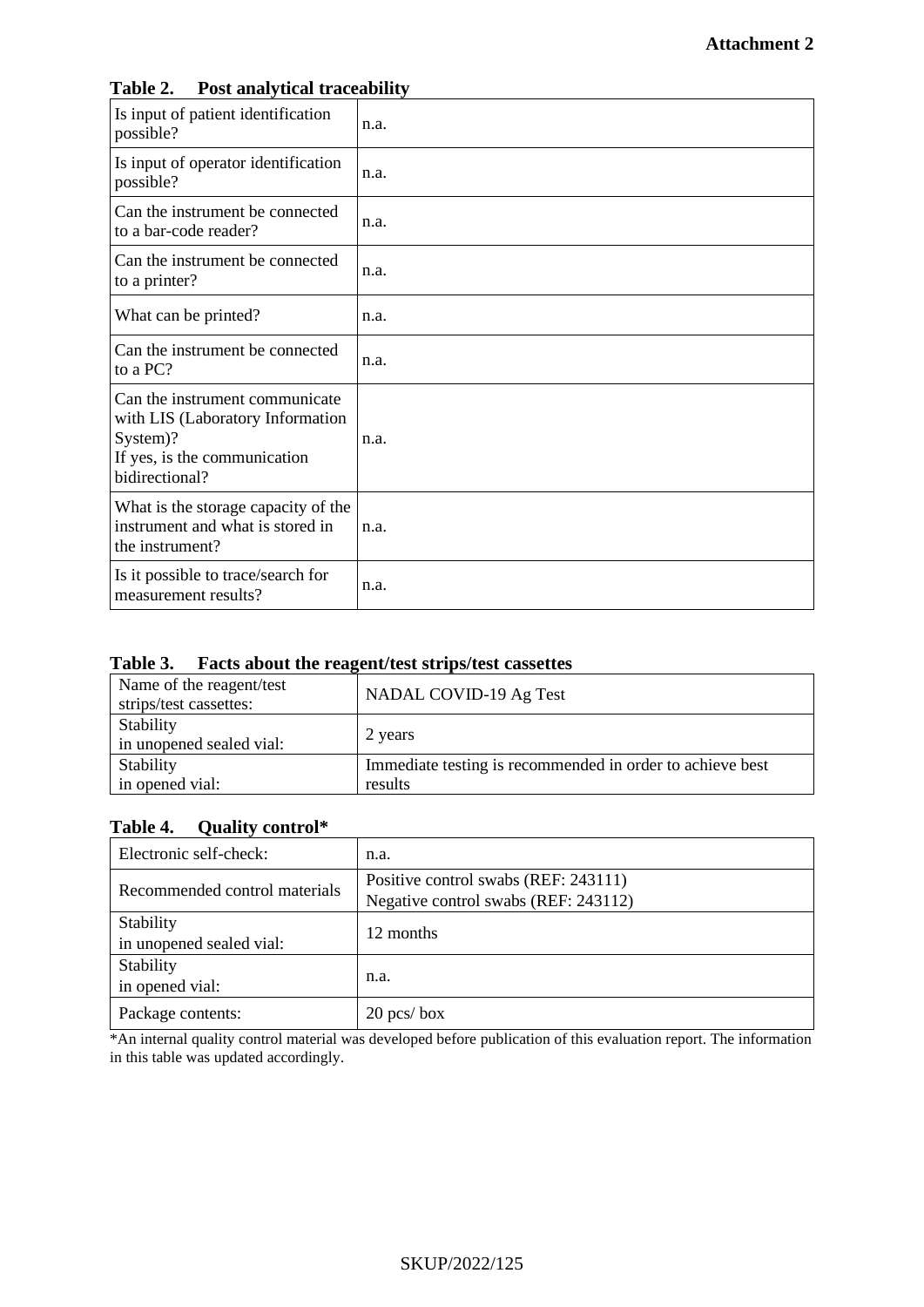| Is input of patient identification<br>possible?                                                                                  | n.a. |
|----------------------------------------------------------------------------------------------------------------------------------|------|
| Is input of operator identification<br>possible?                                                                                 | n.a. |
| Can the instrument be connected<br>to a bar-code reader?                                                                         | n.a. |
| Can the instrument be connected<br>to a printer?                                                                                 | n.a. |
| What can be printed?                                                                                                             | n.a. |
| Can the instrument be connected<br>to a PC?                                                                                      | n.a. |
| Can the instrument communicate<br>with LIS (Laboratory Information<br>System)?<br>If yes, is the communication<br>bidirectional? | n.a. |
| What is the storage capacity of the<br>instrument and what is stored in<br>the instrument?                                       | n.a. |
| Is it possible to trace/search for<br>measurement results?                                                                       | n.a. |

#### **Table 2. Post analytical traceability**

#### **Table 3. Facts about the reagent/test strips/test cassettes**

| <b>NADAL COVID-19 Ag Test</b>                                        |
|----------------------------------------------------------------------|
| 2 years                                                              |
| Immediate testing is recommended in order to achieve best<br>results |
|                                                                      |

## **Table 4. Quality control\***

| Electronic self-check:                | n.a.                                                                         |
|---------------------------------------|------------------------------------------------------------------------------|
| Recommended control materials         | Positive control swabs (REF: 243111)<br>Negative control swabs (REF: 243112) |
| Stability<br>in unopened sealed vial: | 12 months                                                                    |
| Stability<br>in opened vial:          | n.a.                                                                         |
| Package contents:                     | $20$ pcs/box                                                                 |

\*An internal quality control material was developed before publication of this evaluation report. The information in this table was updated accordingly.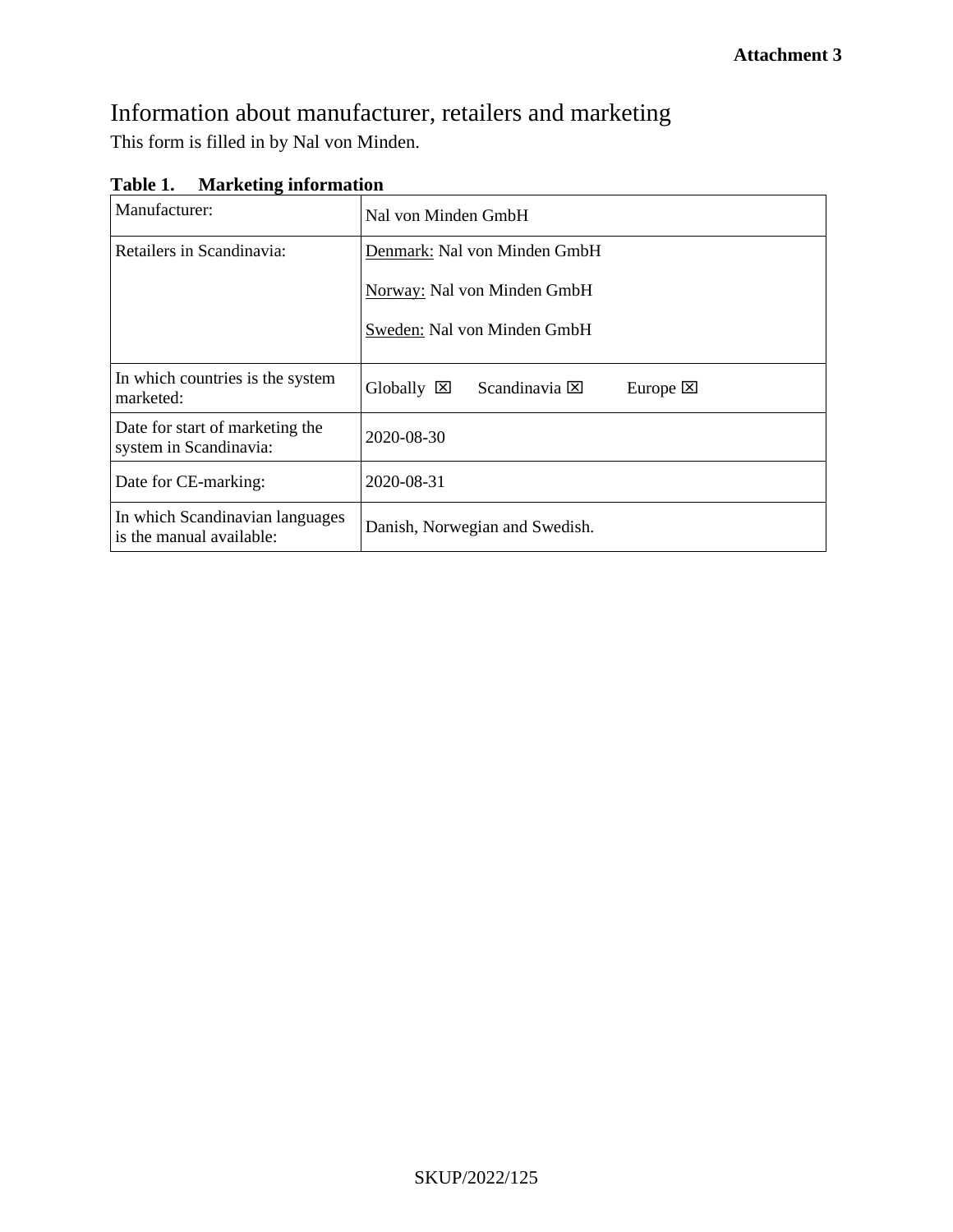## Information about manufacturer, retailers and marketing This form is filled in by Nal von Minden.

| Table 1. |  | <b>Marketing information</b> |
|----------|--|------------------------------|
|----------|--|------------------------------|

| Manufacturer:                                               | Nal von Minden GmbH                                                      |  |  |  |  |
|-------------------------------------------------------------|--------------------------------------------------------------------------|--|--|--|--|
| Retailers in Scandinavia:                                   | Denmark: Nal von Minden GmbH                                             |  |  |  |  |
|                                                             | Norway: Nal von Minden GmbH                                              |  |  |  |  |
|                                                             | Sweden: Nal von Minden GmbH                                              |  |  |  |  |
| In which countries is the system<br>marketed:               | $Globally \n\mathbb{Z}$<br>Scandinavia $\boxtimes$<br>Europe $\boxtimes$ |  |  |  |  |
| Date for start of marketing the<br>system in Scandinavia:   | 2020-08-30                                                               |  |  |  |  |
| Date for CE-marking:                                        | 2020-08-31                                                               |  |  |  |  |
| In which Scandinavian languages<br>is the manual available: | Danish, Norwegian and Swedish.                                           |  |  |  |  |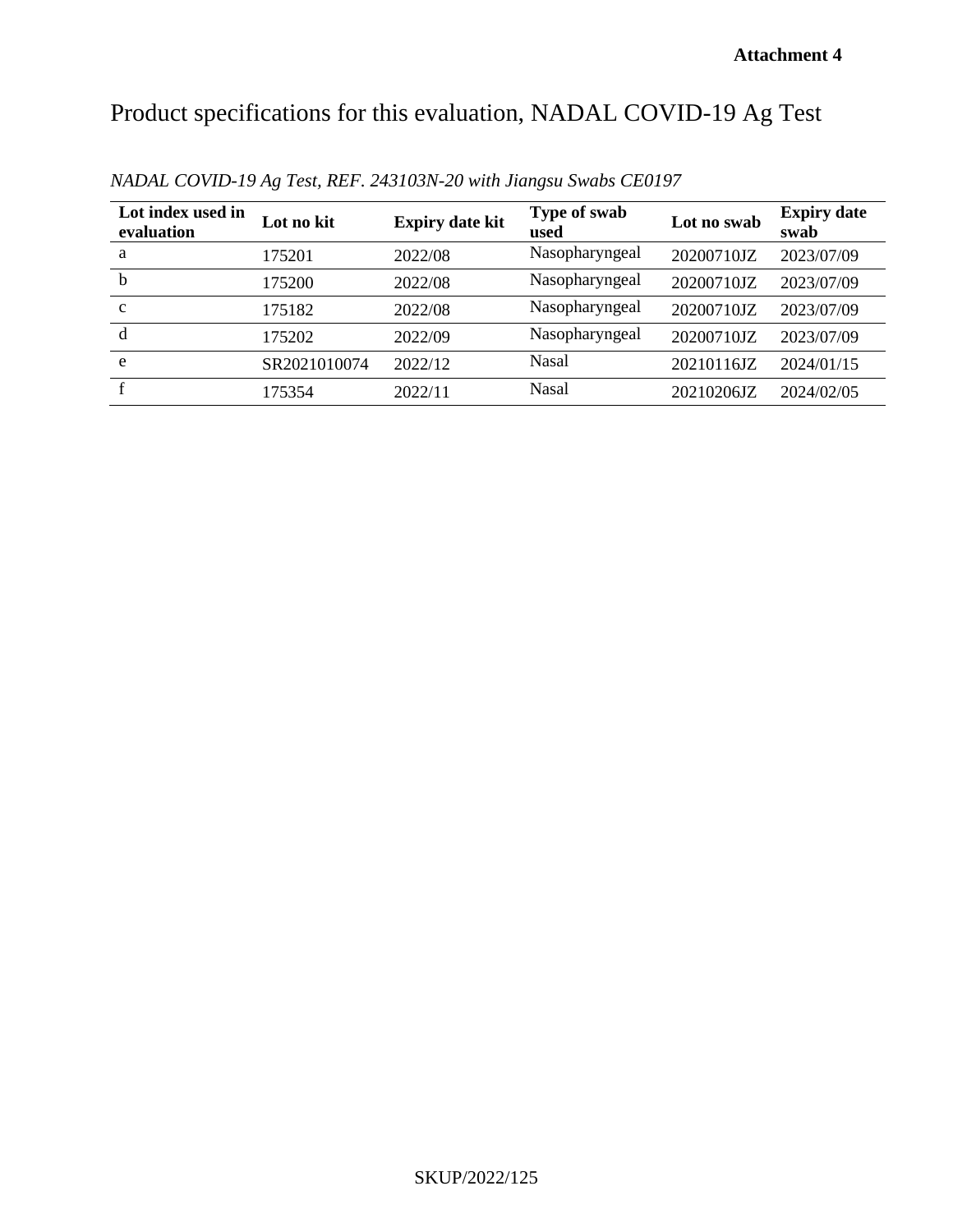# Product specifications for this evaluation, NADAL COVID-19 Ag Test

| Lot index used in<br>evaluation | Lot no kit   | <b>Expiry date kit</b> | Type of swab<br>used | Lot no swab | <b>Expiry date</b><br>swab |
|---------------------------------|--------------|------------------------|----------------------|-------------|----------------------------|
| a                               | 175201       | 2022/08                | Nasopharyngeal       | 20200710JZ  | 2023/07/09                 |
| b                               | 175200       | 2022/08                | Nasopharyngeal       | 20200710JZ  | 2023/07/09                 |
| $\mathbf{C}$                    | 175182       | 2022/08                | Nasopharyngeal       | 20200710JZ  | 2023/07/09                 |
| d                               | 175202       | 2022/09                | Nasopharyngeal       | 20200710JZ  | 2023/07/09                 |
| e                               | SR2021010074 | 2022/12                | Nasal                | 20210116JZ  | 2024/01/15                 |
|                                 | 175354       | 2022/11                | <b>Nasal</b>         | 20210206JZ  | 2024/02/05                 |

*NADAL COVID-19 Ag Test, REF. 243103N-20 with Jiangsu Swabs CE0197*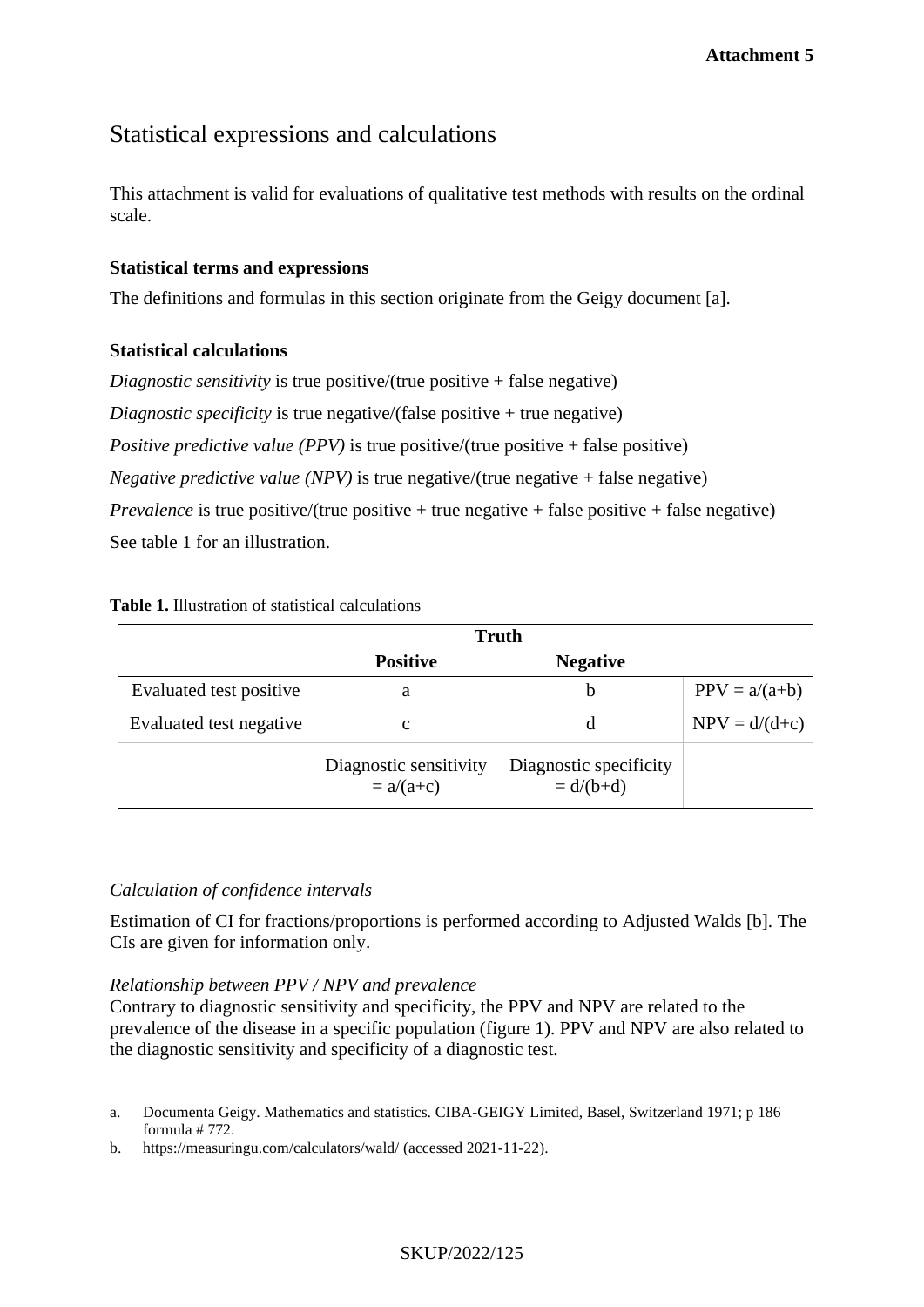## Statistical expressions and calculations

This attachment is valid for evaluations of qualitative test methods with results on the ordinal scale.

#### **Statistical terms and expressions**

The definitions and formulas in this section originate from the Geigy document [a].

#### **Statistical calculations**

*Diagnostic sensitivity* is true positive/(true positive + false negative) *Diagnostic specificity* is true negative/(false positive + true negative) *Positive predictive value (PPV)* is true positive/(true positive + false positive) *Negative predictive value (NPV)* is true negative/(true negative + false negative) *Prevalence* is true positive/(true positive + true negative + false positive + false negative) See table 1 for an illustration.

#### **Table 1.** Illustration of statistical calculations

|                         | <b>Truth</b>                          |                                       |                 |
|-------------------------|---------------------------------------|---------------------------------------|-----------------|
|                         | <b>Positive</b>                       | <b>Negative</b>                       |                 |
| Evaluated test positive | a                                     | b                                     | $PPV = a/(a+b)$ |
| Evaluated test negative | с                                     | d                                     | $NPV = d/(d+c)$ |
|                         | Diagnostic sensitivity<br>$= a/(a+c)$ | Diagnostic specificity<br>$= d/(b+d)$ |                 |

#### *Calculation of confidence intervals*

Estimation of CI for fractions/proportions is performed according to Adjusted Walds [b]. The CIs are given for information only.

#### *Relationship between PPV / NPV and prevalence*

Contrary to diagnostic sensitivity and specificity, the PPV and NPV are related to the prevalence of the disease in a specific population (figure 1). PPV and NPV are also related to the diagnostic sensitivity and specificity of a diagnostic test.

b. https://measuringu.com/calculators/wald/ (accessed 2021-11-22).

#### SKUP/2022/125

a. Documenta Geigy. Mathematics and statistics. CIBA-GEIGY Limited, Basel, Switzerland 1971; p 186 formula # 772.